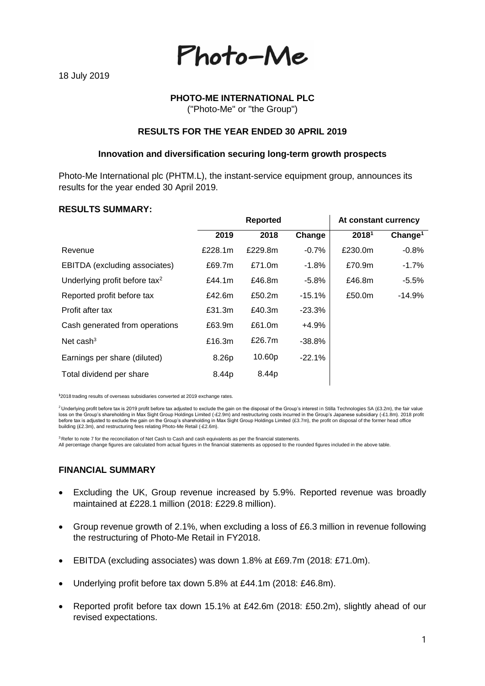Photo-Me

# **PHOTO-ME INTERNATIONAL PLC**

("Photo-Me" or "the Group")

### **RESULTS FOR THE YEAR ENDED 30 APRIL 2019**

#### **Innovation and diversification securing long-term growth prospects**

Photo-Me International plc (PHTM.L), the instant-service equipment group, announces its results for the year ended 30 April 2019.

#### **RESULTS SUMMARY:**

|                                           | <b>Reported</b> |         |          | At constant currency |                     |
|-------------------------------------------|-----------------|---------|----------|----------------------|---------------------|
|                                           | 2019            | 2018    | Change   | 20181                | Change <sup>1</sup> |
| Revenue                                   | £228.1m         | £229.8m | $-0.7%$  | £230.0m              | $-0.8%$             |
| EBITDA (excluding associates)             | £69.7m          | £71.0m  | $-1.8%$  | £70.9m               | $-1.7%$             |
| Underlying profit before tax <sup>2</sup> | £44.1m          | £46.8m  | $-5.8%$  | £46.8m               | $-5.5%$             |
| Reported profit before tax                | £42.6m          | £50.2m  | $-15.1%$ | £50.0m               | $-14.9%$            |
| Profit after tax                          | £31.3m          | £40.3m  | $-23.3%$ |                      |                     |
| Cash generated from operations            | £63.9m          | £61.0m  | $+4.9%$  |                      |                     |
| Net cash $3$                              | £16.3m          | £26.7m  | $-38.8%$ |                      |                     |
| Earnings per share (diluted)              | 8.26p           | 10.60p  | $-22.1%$ |                      |                     |
| Total dividend per share                  | 8.44p           | 8.44p   |          |                      |                     |
|                                           |                 |         |          |                      |                     |

**1** 2018 trading results of overseas subsidiaries converted at 2019 exchange rates.

<sup>2</sup> Underlying profit before tax is 2019 profit before tax adjusted to exclude the gain on the disposal of the Group's interest in Stilla Technologies SA (£3.2m), the fair value loss on the Group's shareholding in Max Sight Group Holdings Limited (-£2.9m) and restructuring costs incurred in the Group's Japanese subsidiary (-£1.8m). 2018 profit before tax is adjusted to exclude the gain on the Group's shareholding in Max Sight Group Holdings Limited (£3.7m), the profit on disposal of the former head office building (£2.3m), and restructuring fees relating Photo-Me Retail (-£2.6m).

 $3$  Refer to note 7 for the reconciliation of Net Cash to Cash and cash equivalents as per the financial statements.

All percentage change figures are calculated from actual figures in the financial statements as opposed to the rounded figures included in the above table.

#### **FINANCIAL SUMMARY**

- Excluding the UK, Group revenue increased by 5.9%. Reported revenue was broadly maintained at £228.1 million (2018: £229.8 million).
- Group revenue growth of 2.1%, when excluding a loss of £6.3 million in revenue following the restructuring of Photo-Me Retail in FY2018.
- EBITDA (excluding associates) was down 1.8% at £69.7m (2018: £71.0m).
- Underlying profit before tax down 5.8% at £44.1m (2018: £46.8m).
- Reported profit before tax down 15.1% at £42.6m (2018: £50.2m), slightly ahead of our revised expectations.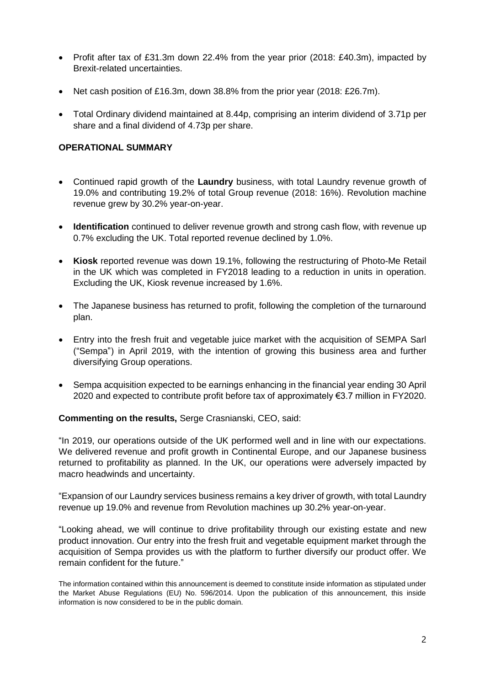- Profit after tax of £31.3m down 22.4% from the year prior (2018: £40.3m), impacted by Brexit-related uncertainties.
- Net cash position of £16.3m, down 38.8% from the prior year (2018: £26.7m).
- Total Ordinary dividend maintained at 8.44p, comprising an interim dividend of 3.71p per share and a final dividend of 4.73p per share.

#### **OPERATIONAL SUMMARY**

- Continued rapid growth of the **Laundry** business, with total Laundry revenue growth of 19.0% and contributing 19.2% of total Group revenue (2018: 16%). Revolution machine revenue grew by 30.2% year-on-year.
- **Identification** continued to deliver revenue growth and strong cash flow, with revenue up 0.7% excluding the UK. Total reported revenue declined by 1.0%.
- **Kiosk** reported revenue was down 19.1%, following the restructuring of Photo-Me Retail in the UK which was completed in FY2018 leading to a reduction in units in operation. Excluding the UK, Kiosk revenue increased by 1.6%.
- The Japanese business has returned to profit, following the completion of the turnaround plan.
- Entry into the fresh fruit and vegetable juice market with the acquisition of SEMPA Sarl ("Sempa") in April 2019, with the intention of growing this business area and further diversifying Group operations.
- Sempa acquisition expected to be earnings enhancing in the financial year ending 30 April 2020 and expected to contribute profit before tax of approximately €3.7 million in FY2020.

#### **Commenting on the results,** Serge Crasnianski, CEO, said:

"In 2019, our operations outside of the UK performed well and in line with our expectations. We delivered revenue and profit growth in Continental Europe, and our Japanese business returned to profitability as planned. In the UK, our operations were adversely impacted by macro headwinds and uncertainty.

"Expansion of our Laundry services business remains a key driver of growth, with total Laundry revenue up 19.0% and revenue from Revolution machines up 30.2% year-on-year.

"Looking ahead, we will continue to drive profitability through our existing estate and new product innovation. Our entry into the fresh fruit and vegetable equipment market through the acquisition of Sempa provides us with the platform to further diversify our product offer. We remain confident for the future."

The information contained within this announcement is deemed to constitute inside information as stipulated under the Market Abuse Regulations (EU) No. 596/2014. Upon the publication of this announcement, this inside information is now considered to be in the public domain.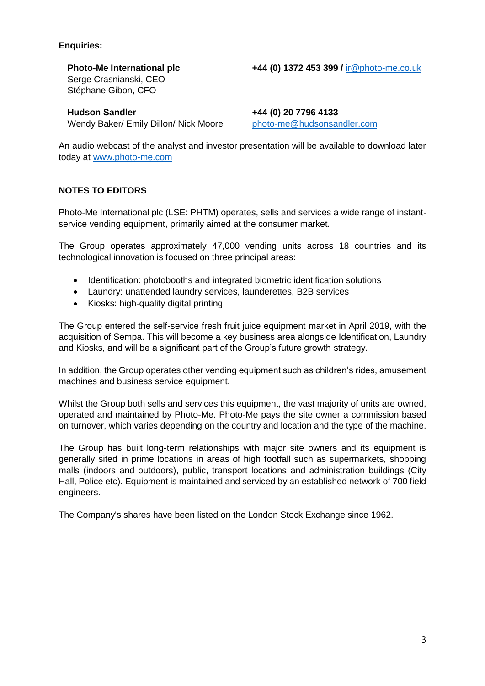# **Enquiries:**

**Photo-Me International plc +44 (0) 1372 453 399 /** [ir@photo-me.co.uk](mailto:ir@photo-me.co.uk) Serge Crasnianski, CEO Stéphane Gibon, CFO

**Hudson Sandler +44 (0) 20 7796 4133**  Wendy Baker/ Emily Dillon/ Nick Moore [photo-me@hudsonsandler.com](mailto:photo-me@hudsonsandler.com)

An audio webcast of the analyst and investor presentation will be available to download later today at [www.photo-me.com](http://www.photo-me.com/)

# **NOTES TO EDITORS**

Photo-Me International plc (LSE: PHTM) operates, sells and services a wide range of instantservice vending equipment, primarily aimed at the consumer market.

The Group operates approximately 47,000 vending units across 18 countries and its technological innovation is focused on three principal areas:

- Identification: photobooths and integrated biometric identification solutions
- Laundry: unattended laundry services, launderettes, B2B services
- Kiosks: high-quality digital printing

The Group entered the self-service fresh fruit juice equipment market in April 2019, with the acquisition of Sempa. This will become a key business area alongside Identification, Laundry and Kiosks, and will be a significant part of the Group's future growth strategy.

In addition, the Group operates other vending equipment such as children's rides, amusement machines and business service equipment.

Whilst the Group both sells and services this equipment, the vast majority of units are owned, operated and maintained by Photo-Me. Photo-Me pays the site owner a commission based on turnover, which varies depending on the country and location and the type of the machine.

The Group has built long-term relationships with major site owners and its equipment is generally sited in prime locations in areas of high footfall such as supermarkets, shopping malls (indoors and outdoors), public, transport locations and administration buildings (City Hall, Police etc). Equipment is maintained and serviced by an established network of 700 field engineers.

The Company's shares have been listed on the London Stock Exchange since 1962.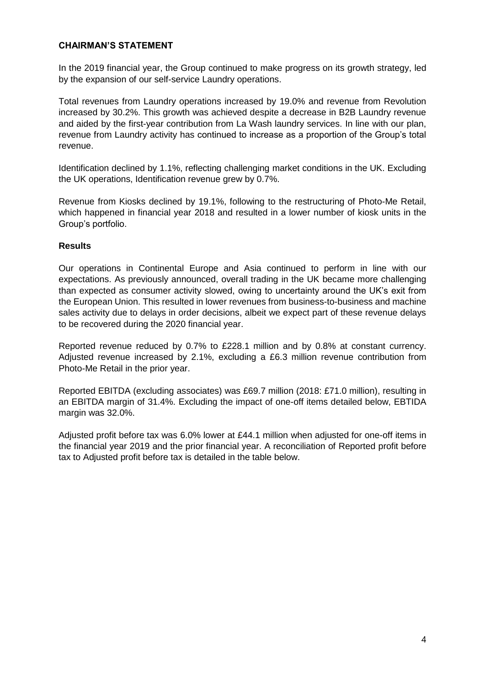# **CHAIRMAN'S STATEMENT**

In the 2019 financial year, the Group continued to make progress on its growth strategy, led by the expansion of our self-service Laundry operations.

Total revenues from Laundry operations increased by 19.0% and revenue from Revolution increased by 30.2%. This growth was achieved despite a decrease in B2B Laundry revenue and aided by the first-year contribution from La Wash laundry services. In line with our plan, revenue from Laundry activity has continued to increase as a proportion of the Group's total revenue.

Identification declined by 1.1%, reflecting challenging market conditions in the UK. Excluding the UK operations, Identification revenue grew by 0.7%.

Revenue from Kiosks declined by 19.1%, following to the restructuring of Photo-Me Retail, which happened in financial year 2018 and resulted in a lower number of kiosk units in the Group's portfolio.

#### **Results**

Our operations in Continental Europe and Asia continued to perform in line with our expectations. As previously announced, overall trading in the UK became more challenging than expected as consumer activity slowed, owing to uncertainty around the UK's exit from the European Union. This resulted in lower revenues from business-to-business and machine sales activity due to delays in order decisions, albeit we expect part of these revenue delays to be recovered during the 2020 financial year.

Reported revenue reduced by 0.7% to £228.1 million and by 0.8% at constant currency. Adjusted revenue increased by 2.1%, excluding a £6.3 million revenue contribution from Photo-Me Retail in the prior year.

Reported EBITDA (excluding associates) was £69.7 million (2018: £71.0 million), resulting in an EBITDA margin of 31.4%. Excluding the impact of one-off items detailed below, EBTIDA margin was 32.0%.

Adjusted profit before tax was 6.0% lower at £44.1 million when adjusted for one-off items in the financial year 2019 and the prior financial year. A reconciliation of Reported profit before tax to Adjusted profit before tax is detailed in the table below.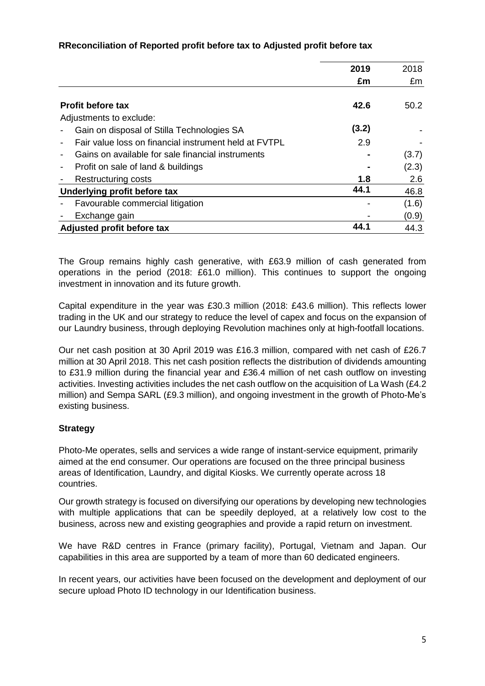# **RReconciliation of Reported profit before tax to Adjusted profit before tax**

|                                                       | 2019  | 2018  |
|-------------------------------------------------------|-------|-------|
|                                                       | £m    | £m    |
| <b>Profit before tax</b>                              | 42.6  | 50.2  |
| Adjustments to exclude:                               |       |       |
| Gain on disposal of Stilla Technologies SA            | (3.2) |       |
| Fair value loss on financial instrument held at FVTPL | 2.9   |       |
| Gains on available for sale financial instruments     |       | (3.7) |
| Profit on sale of land & buildings<br>-               |       | (2.3) |
| <b>Restructuring costs</b>                            | 1.8   | 2.6   |
| Underlying profit before tax                          | 44.1  | 46.8  |
| Favourable commercial litigation                      |       | (1.6) |
| Exchange gain                                         |       | (0.9) |
| Adjusted profit before tax                            | 44.1  | 44.3  |

The Group remains highly cash generative, with £63.9 million of cash generated from operations in the period (2018: £61.0 million). This continues to support the ongoing investment in innovation and its future growth.

Capital expenditure in the year was £30.3 million (2018: £43.6 million). This reflects lower trading in the UK and our strategy to reduce the level of capex and focus on the expansion of our Laundry business, through deploying Revolution machines only at high-footfall locations.

Our net cash position at 30 April 2019 was £16.3 million, compared with net cash of £26.7 million at 30 April 2018. This net cash position reflects the distribution of dividends amounting to £31.9 million during the financial year and £36.4 million of net cash outflow on investing activities. Investing activities includes the net cash outflow on the acquisition of La Wash (£4.2 million) and Sempa SARL (£9.3 million), and ongoing investment in the growth of Photo-Me's existing business.

# **Strategy**

Photo-Me operates, sells and services a wide range of instant-service equipment, primarily aimed at the end consumer. Our operations are focused on the three principal business areas of Identification, Laundry, and digital Kiosks. We currently operate across 18 countries.

Our growth strategy is focused on diversifying our operations by developing new technologies with multiple applications that can be speedily deployed, at a relatively low cost to the business, across new and existing geographies and provide a rapid return on investment.

We have R&D centres in France (primary facility), Portugal, Vietnam and Japan. Our capabilities in this area are supported by a team of more than 60 dedicated engineers.

In recent years, our activities have been focused on the development and deployment of our secure upload Photo ID technology in our Identification business.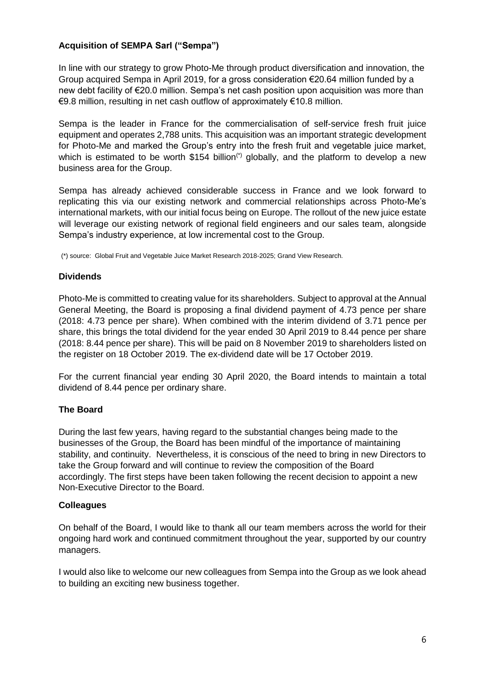# **Acquisition of SEMPA Sarl ("Sempa")**

In line with our strategy to grow Photo-Me through product diversification and innovation, the Group acquired Sempa in April 2019, for a gross consideration €20.64 million funded by a new debt facility of €20.0 million. Sempa's net cash position upon acquisition was more than €9.8 million, resulting in net cash outflow of approximately €10.8 million.

Sempa is the leader in France for the commercialisation of self-service fresh fruit juice equipment and operates 2,788 units. This acquisition was an important strategic development for Photo-Me and marked the Group's entry into the fresh fruit and vegetable juice market, which is estimated to be worth \$154 billion<sup>(\*)</sup> globally, and the platform to develop a new business area for the Group.

Sempa has already achieved considerable success in France and we look forward to replicating this via our existing network and commercial relationships across Photo-Me's international markets, with our initial focus being on Europe. The rollout of the new juice estate will leverage our existing network of regional field engineers and our sales team, alongside Sempa's industry experience, at low incremental cost to the Group.

(\*) source: Global Fruit and Vegetable Juice Market Research 2018-2025; Grand View Research.

#### **Dividends**

Photo-Me is committed to creating value for its shareholders. Subject to approval at the Annual General Meeting, the Board is proposing a final dividend payment of 4.73 pence per share (2018: 4.73 pence per share). When combined with the interim dividend of 3.71 pence per share, this brings the total dividend for the year ended 30 April 2019 to 8.44 pence per share (2018: 8.44 pence per share). This will be paid on 8 November 2019 to shareholders listed on the register on 18 October 2019. The ex-dividend date will be 17 October 2019.

For the current financial year ending 30 April 2020, the Board intends to maintain a total dividend of 8.44 pence per ordinary share.

#### **The Board**

During the last few years, having regard to the substantial changes being made to the businesses of the Group, the Board has been mindful of the importance of maintaining stability, and continuity. Nevertheless, it is conscious of the need to bring in new Directors to take the Group forward and will continue to review the composition of the Board accordingly. The first steps have been taken following the recent decision to appoint a new Non-Executive Director to the Board.

#### **Colleagues**

On behalf of the Board, I would like to thank all our team members across the world for their ongoing hard work and continued commitment throughout the year, supported by our country managers.

I would also like to welcome our new colleagues from Sempa into the Group as we look ahead to building an exciting new business together.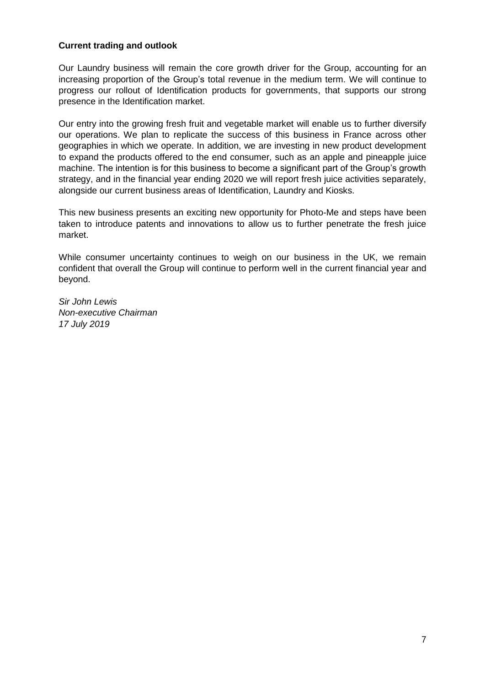# **Current trading and outlook**

Our Laundry business will remain the core growth driver for the Group, accounting for an increasing proportion of the Group's total revenue in the medium term. We will continue to progress our rollout of Identification products for governments, that supports our strong presence in the Identification market.

Our entry into the growing fresh fruit and vegetable market will enable us to further diversify our operations. We plan to replicate the success of this business in France across other geographies in which we operate. In addition, we are investing in new product development to expand the products offered to the end consumer, such as an apple and pineapple juice machine. The intention is for this business to become a significant part of the Group's growth strategy, and in the financial year ending 2020 we will report fresh juice activities separately, alongside our current business areas of Identification, Laundry and Kiosks.

This new business presents an exciting new opportunity for Photo-Me and steps have been taken to introduce patents and innovations to allow us to further penetrate the fresh juice market.

While consumer uncertainty continues to weigh on our business in the UK, we remain confident that overall the Group will continue to perform well in the current financial year and beyond.

*Sir John Lewis Non-executive Chairman 17 July 2019*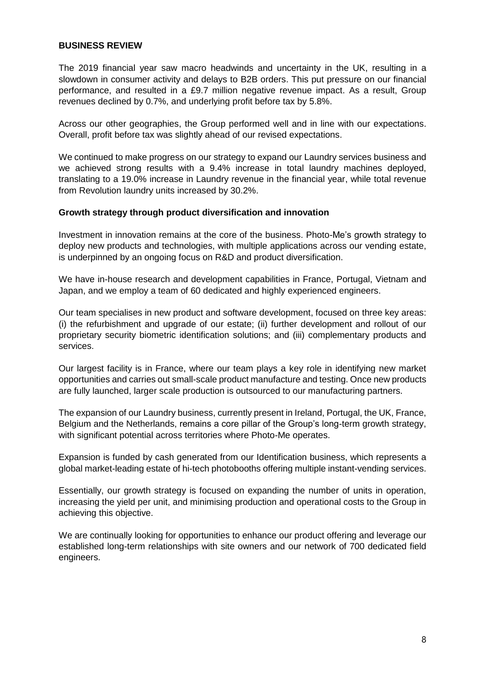### **BUSINESS REVIEW**

The 2019 financial year saw macro headwinds and uncertainty in the UK, resulting in a slowdown in consumer activity and delays to B2B orders. This put pressure on our financial performance, and resulted in a £9.7 million negative revenue impact. As a result, Group revenues declined by 0.7%, and underlying profit before tax by 5.8%.

Across our other geographies, the Group performed well and in line with our expectations. Overall, profit before tax was slightly ahead of our revised expectations.

We continued to make progress on our strategy to expand our Laundry services business and we achieved strong results with a 9.4% increase in total laundry machines deployed, translating to a 19.0% increase in Laundry revenue in the financial year, while total revenue from Revolution laundry units increased by 30.2%.

#### **Growth strategy through product diversification and innovation**

Investment in innovation remains at the core of the business. Photo-Me's growth strategy to deploy new products and technologies, with multiple applications across our vending estate, is underpinned by an ongoing focus on R&D and product diversification.

We have in-house research and development capabilities in France, Portugal, Vietnam and Japan, and we employ a team of 60 dedicated and highly experienced engineers.

Our team specialises in new product and software development, focused on three key areas: (i) the refurbishment and upgrade of our estate; (ii) further development and rollout of our proprietary security biometric identification solutions; and (iii) complementary products and services.

Our largest facility is in France, where our team plays a key role in identifying new market opportunities and carries out small-scale product manufacture and testing. Once new products are fully launched, larger scale production is outsourced to our manufacturing partners.

The expansion of our Laundry business, currently present in Ireland, Portugal, the UK, France, Belgium and the Netherlands, remains a core pillar of the Group's long-term growth strategy, with significant potential across territories where Photo-Me operates.

Expansion is funded by cash generated from our Identification business, which represents a global market-leading estate of hi-tech photobooths offering multiple instant-vending services.

Essentially, our growth strategy is focused on expanding the number of units in operation, increasing the yield per unit, and minimising production and operational costs to the Group in achieving this objective.

We are continually looking for opportunities to enhance our product offering and leverage our established long-term relationships with site owners and our network of 700 dedicated field engineers.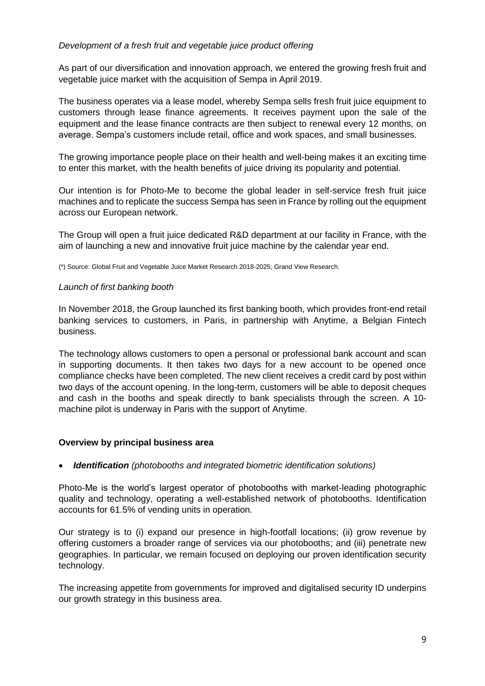# *Development of a fresh fruit and vegetable juice product offering*

As part of our diversification and innovation approach, we entered the growing fresh fruit and vegetable juice market with the acquisition of Sempa in April 2019.

The business operates via a lease model, whereby Sempa sells fresh fruit juice equipment to customers through lease finance agreements. It receives payment upon the sale of the equipment and the lease finance contracts are then subject to renewal every 12 months, on average. Sempa's customers include retail, office and work spaces, and small businesses.

The growing importance people place on their health and well-being makes it an exciting time to enter this market, with the health benefits of juice driving its popularity and potential.

Our intention is for Photo-Me to become the global leader in self-service fresh fruit juice machines and to replicate the success Sempa has seen in France by rolling out the equipment across our European network.

The Group will open a fruit juice dedicated R&D department at our facility in France, with the aim of launching a new and innovative fruit juice machine by the calendar year end.

(\*) Source: Global Fruit and Vegetable Juice Market Research 2018-2025; Grand View Research.

#### *Launch of first banking booth*

In November 2018, the Group launched its first banking booth, which provides front-end retail banking services to customers, in Paris, in partnership with Anytime, a Belgian Fintech business.

The technology allows customers to open a personal or professional bank account and scan in supporting documents. It then takes two days for a new account to be opened once compliance checks have been completed. The new client receives a credit card by post within two days of the account opening. In the long-term, customers will be able to deposit cheques and cash in the booths and speak directly to bank specialists through the screen. A 10 machine pilot is underway in Paris with the support of Anytime.

#### **Overview by principal business area**

#### • *Identification (photobooths and integrated biometric identification solutions)*

Photo-Me is the world's largest operator of photobooths with market-leading photographic quality and technology, operating a well-established network of photobooths. Identification accounts for 61.5% of vending units in operation.

Our strategy is to (i) expand our presence in high-footfall locations; (ii) grow revenue by offering customers a broader range of services via our photobooths; and (iii) penetrate new geographies. In particular, we remain focused on deploying our proven identification security technology.

The increasing appetite from governments for improved and digitalised security ID underpins our growth strategy in this business area.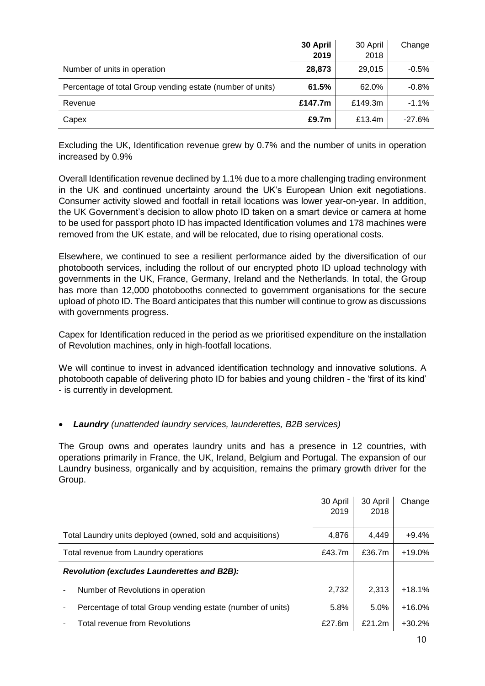|                                                            | 30 April<br>2019 | 30 April<br>2018 | Change    |
|------------------------------------------------------------|------------------|------------------|-----------|
| Number of units in operation                               | 28,873           | 29,015           | $-0.5%$   |
| Percentage of total Group vending estate (number of units) | 61.5%            | 62.0%            | $-0.8%$   |
| Revenue                                                    | £147.7m          | £149.3m          | $-1.1\%$  |
| Capex                                                      | £9.7m            | £13.4m           | $-27.6\%$ |

Excluding the UK, Identification revenue grew by 0.7% and the number of units in operation increased by 0.9%

Overall Identification revenue declined by 1.1% due to a more challenging trading environment in the UK and continued uncertainty around the UK's European Union exit negotiations. Consumer activity slowed and footfall in retail locations was lower year-on-year. In addition, the UK Government's decision to allow photo ID taken on a smart device or camera at home to be used for passport photo ID has impacted Identification volumes and 178 machines were removed from the UK estate, and will be relocated, due to rising operational costs.

Elsewhere, we continued to see a resilient performance aided by the diversification of our photobooth services, including the rollout of our encrypted photo ID upload technology with governments in the UK, France, Germany, Ireland and the Netherlands. In total, the Group has more than 12,000 photobooths connected to government organisations for the secure upload of photo ID. The Board anticipates that this number will continue to grow as discussions with governments progress.

Capex for Identification reduced in the period as we prioritised expenditure on the installation of Revolution machines, only in high-footfall locations.

We will continue to invest in advanced identification technology and innovative solutions. A photobooth capable of delivering photo ID for babies and young children - the 'first of its kind' - is currently in development.

# • *Laundry (unattended laundry services, launderettes, B2B services)*

The Group owns and operates laundry units and has a presence in 12 countries, with operations primarily in France, the UK, Ireland, Belgium and Portugal. The expansion of our Laundry business, organically and by acquisition, remains the primary growth driver for the Group.

|                                                             | 30 April<br>2019 | 30 April<br>2018 | Change   |
|-------------------------------------------------------------|------------------|------------------|----------|
| Total Laundry units deployed (owned, sold and acquisitions) | 4.876            | 4.449            | $+9.4%$  |
| Total revenue from Laundry operations                       | £43.7m           | £36.7m           | $+19.0%$ |
| Revolution (excludes Launderettes and B2B):                 |                  |                  |          |
| Number of Revolutions in operation                          | 2,732            | 2.313            | $+18.1%$ |
| Percentage of total Group vending estate (number of units)  | 5.8%             | 5.0%             | $+16.0%$ |
| <b>Total revenue from Revolutions</b>                       | £27.6m           | £21.2m           | $+30.2%$ |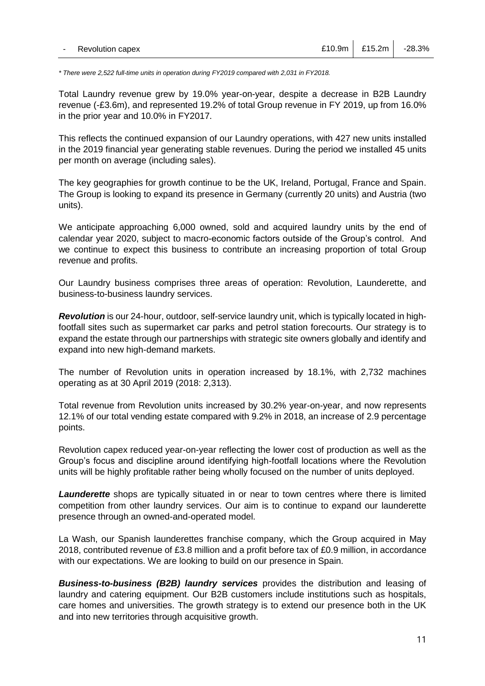*\* There were 2,522 full-time units in operation during FY2019 compared with 2,031 in FY2018.*

Total Laundry revenue grew by 19.0% year-on-year, despite a decrease in B2B Laundry revenue (-£3.6m), and represented 19.2% of total Group revenue in FY 2019, up from 16.0% in the prior year and 10.0% in FY2017.

This reflects the continued expansion of our Laundry operations, with 427 new units installed in the 2019 financial year generating stable revenues. During the period we installed 45 units per month on average (including sales).

The key geographies for growth continue to be the UK, Ireland, Portugal, France and Spain. The Group is looking to expand its presence in Germany (currently 20 units) and Austria (two units).

We anticipate approaching 6,000 owned, sold and acquired laundry units by the end of calendar year 2020, subject to macro-economic factors outside of the Group's control. And we continue to expect this business to contribute an increasing proportion of total Group revenue and profits.

Our Laundry business comprises three areas of operation: Revolution, Launderette, and business-to-business laundry services.

*Revolution* is our 24-hour, outdoor, self-service laundry unit, which is typically located in highfootfall sites such as supermarket car parks and petrol station forecourts. Our strategy is to expand the estate through our partnerships with strategic site owners globally and identify and expand into new high-demand markets.

The number of Revolution units in operation increased by 18.1%, with 2,732 machines operating as at 30 April 2019 (2018: 2,313).

Total revenue from Revolution units increased by 30.2% year-on-year, and now represents 12.1% of our total vending estate compared with 9.2% in 2018, an increase of 2.9 percentage points.

Revolution capex reduced year-on-year reflecting the lower cost of production as well as the Group's focus and discipline around identifying high-footfall locations where the Revolution units will be highly profitable rather being wholly focused on the number of units deployed.

*Launderette* shops are typically situated in or near to town centres where there is limited competition from other laundry services. Our aim is to continue to expand our launderette presence through an owned-and-operated model.

La Wash, our Spanish launderettes franchise company, which the Group acquired in May 2018, contributed revenue of £3.8 million and a profit before tax of £0.9 million, in accordance with our expectations. We are looking to build on our presence in Spain.

*Business-to-business (B2B) laundry services* provides the distribution and leasing of laundry and catering equipment. Our B2B customers include institutions such as hospitals, care homes and universities. The growth strategy is to extend our presence both in the UK and into new territories through acquisitive growth.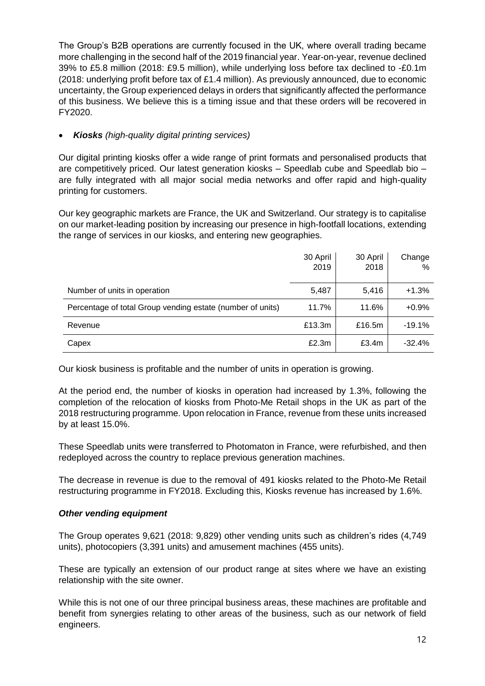The Group's B2B operations are currently focused in the UK, where overall trading became more challenging in the second half of the 2019 financial year. Year-on-year, revenue declined 39% to £5.8 million (2018: £9.5 million), while underlying loss before tax declined to -£0.1m (2018: underlying profit before tax of £1.4 million). As previously announced, due to economic uncertainty, the Group experienced delays in orders that significantly affected the performance of this business. We believe this is a timing issue and that these orders will be recovered in FY2020.

# • *Kiosks (high-quality digital printing services)*

Our digital printing kiosks offer a wide range of print formats and personalised products that are competitively priced. Our latest generation kiosks – Speedlab cube and Speedlab bio – are fully integrated with all major social media networks and offer rapid and high-quality printing for customers.

Our key geographic markets are France, the UK and Switzerland. Our strategy is to capitalise on our market-leading position by increasing our presence in high-footfall locations, extending the range of services in our kiosks, and entering new geographies.

|                                                            | 30 April<br>2019 | 30 April<br>2018 | Change<br>% |
|------------------------------------------------------------|------------------|------------------|-------------|
| Number of units in operation                               | 5,487            | 5,416            | $+1.3%$     |
| Percentage of total Group vending estate (number of units) | 11.7%            | 11.6%            | $+0.9%$     |
| Revenue                                                    | £13.3m           | £16.5m           | $-19.1%$    |
| Capex                                                      | £2.3m            | £3.4m            | $-32.4%$    |

Our kiosk business is profitable and the number of units in operation is growing.

At the period end, the number of kiosks in operation had increased by 1.3%, following the completion of the relocation of kiosks from Photo-Me Retail shops in the UK as part of the 2018 restructuring programme. Upon relocation in France, revenue from these units increased by at least 15.0%.

These Speedlab units were transferred to Photomaton in France, were refurbished, and then redeployed across the country to replace previous generation machines.

The decrease in revenue is due to the removal of 491 kiosks related to the Photo-Me Retail restructuring programme in FY2018. Excluding this, Kiosks revenue has increased by 1.6%.

# *Other vending equipment*

The Group operates 9,621 (2018: 9,829) other vending units such as children's rides (4,749 units), photocopiers (3,391 units) and amusement machines (455 units).

These are typically an extension of our product range at sites where we have an existing relationship with the site owner.

While this is not one of our three principal business areas, these machines are profitable and benefit from synergies relating to other areas of the business, such as our network of field engineers.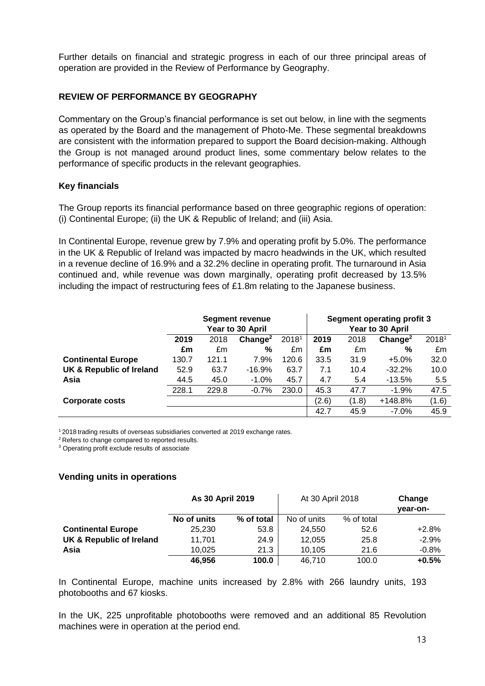Further details on financial and strategic progress in each of our three principal areas of operation are provided in the Review of Performance by Geography.

#### **REVIEW OF PERFORMANCE BY GEOGRAPHY**

Commentary on the Group's financial performance is set out below, in line with the segments as operated by the Board and the management of Photo-Me. These segmental breakdowns are consistent with the information prepared to support the Board decision-making. Although the Group is not managed around product lines, some commentary below relates to the performance of specific products in the relevant geographies.

#### **Key financials**

The Group reports its financial performance based on three geographic regions of operation: (i) Continental Europe; (ii) the UK & Republic of Ireland; and (iii) Asia.

In Continental Europe, revenue grew by 7.9% and operating profit by 5.0%. The performance in the UK & Republic of Ireland was impacted by macro headwinds in the UK, which resulted in a revenue decline of 16.9% and a 32.2% decline in operating profit. The turnaround in Asia continued and, while revenue was down marginally, operating profit decreased by 13.5% including the impact of restructuring fees of £1.8m relating to the Japanese business.

|                                     | <b>Segment revenue</b><br>Year to 30 April |       |                     |       |       | <b>Segment operating profit 3</b><br>Year to 30 April |                     |       |
|-------------------------------------|--------------------------------------------|-------|---------------------|-------|-------|-------------------------------------------------------|---------------------|-------|
|                                     | 2019                                       | 2018  | Change <sup>2</sup> | 20181 | 2019  | 2018                                                  | Change <sup>2</sup> | 20181 |
|                                     | £m                                         | £m    | %                   | £m    | £m    | £m                                                    | %                   | £m    |
| <b>Continental Europe</b>           | 130.7                                      | 121.1 | 7.9%                | 120.6 | 33.5  | 31.9                                                  | $+5.0%$             | 32.0  |
| <b>UK &amp; Republic of Ireland</b> | 52.9                                       | 63.7  | $-16.9%$            | 63.7  | 7.1   | 10.4                                                  | $-32.2%$            | 10.0  |
| Asia                                | 44.5                                       | 45.0  | $-1.0%$             | 45.7  | 4.7   | 5.4                                                   | $-13.5%$            | 5.5   |
|                                     | 228.1                                      | 229.8 | $-0.7%$             | 230.0 | 45.3  | 47.7                                                  | $-1.9%$             | 47.5  |
| <b>Corporate costs</b>              |                                            |       |                     |       | (2.6) | (1.8)                                                 | $+148.8%$           | (1.6) |
|                                     |                                            |       |                     |       | 42.7  | 45.9                                                  | $-7.0%$             | 45.9  |

<sup>1</sup> 2018 trading results of overseas subsidiaries converted at 2019 exchange rates.

<sup>2</sup> Refers to change compared to reported results.

<sup>3</sup> Operating profit exclude results of associate

#### **Vending units in operations**

|                           | As 30 April 2019 |            | At 30 April 2018 |            | Change<br>vear-on- |
|---------------------------|------------------|------------|------------------|------------|--------------------|
|                           | No of units      | % of total | No of units      | % of total |                    |
| <b>Continental Europe</b> | 25,230           | 53.8       | 24.550           | 52.6       | $+2.8%$            |
| UK & Republic of Ireland  | 11.701           | 24.9       | 12.055           | 25.8       | $-2.9%$            |
| Asia                      | 10.025           | 21.3       | 10.105           | 21.6       | $-0.8%$            |
|                           | 46.956           | 100.0      | 46.710           | 100.0      | $+0.5%$            |

In Continental Europe, machine units increased by 2.8% with 266 laundry units, 193 photobooths and 67 kiosks.

In the UK, 225 unprofitable photobooths were removed and an additional 85 Revolution machines were in operation at the period end.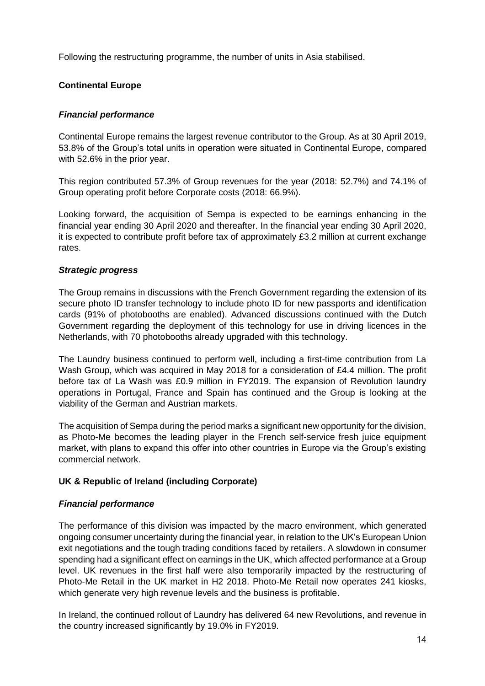Following the restructuring programme, the number of units in Asia stabilised.

# **Continental Europe**

#### *Financial performance*

Continental Europe remains the largest revenue contributor to the Group. As at 30 April 2019, 53.8% of the Group's total units in operation were situated in Continental Europe, compared with 52.6% in the prior year.

This region contributed 57.3% of Group revenues for the year (2018: 52.7%) and 74.1% of Group operating profit before Corporate costs (2018: 66.9%).

Looking forward, the acquisition of Sempa is expected to be earnings enhancing in the financial year ending 30 April 2020 and thereafter. In the financial year ending 30 April 2020, it is expected to contribute profit before tax of approximately £3.2 million at current exchange rates.

#### *Strategic progress*

The Group remains in discussions with the French Government regarding the extension of its secure photo ID transfer technology to include photo ID for new passports and identification cards (91% of photobooths are enabled). Advanced discussions continued with the Dutch Government regarding the deployment of this technology for use in driving licences in the Netherlands, with 70 photobooths already upgraded with this technology.

The Laundry business continued to perform well, including a first-time contribution from La Wash Group, which was acquired in May 2018 for a consideration of £4.4 million. The profit before tax of La Wash was £0.9 million in FY2019. The expansion of Revolution laundry operations in Portugal, France and Spain has continued and the Group is looking at the viability of the German and Austrian markets.

The acquisition of Sempa during the period marks a significant new opportunity for the division, as Photo-Me becomes the leading player in the French self-service fresh juice equipment market, with plans to expand this offer into other countries in Europe via the Group's existing commercial network.

#### **UK & Republic of Ireland (including Corporate)**

#### *Financial performance*

The performance of this division was impacted by the macro environment, which generated ongoing consumer uncertainty during the financial year, in relation to the UK's European Union exit negotiations and the tough trading conditions faced by retailers. A slowdown in consumer spending had a significant effect on earnings in the UK, which affected performance at a Group level. UK revenues in the first half were also temporarily impacted by the restructuring of Photo-Me Retail in the UK market in H2 2018. Photo-Me Retail now operates 241 kiosks, which generate very high revenue levels and the business is profitable.

In Ireland, the continued rollout of Laundry has delivered 64 new Revolutions, and revenue in the country increased significantly by 19.0% in FY2019.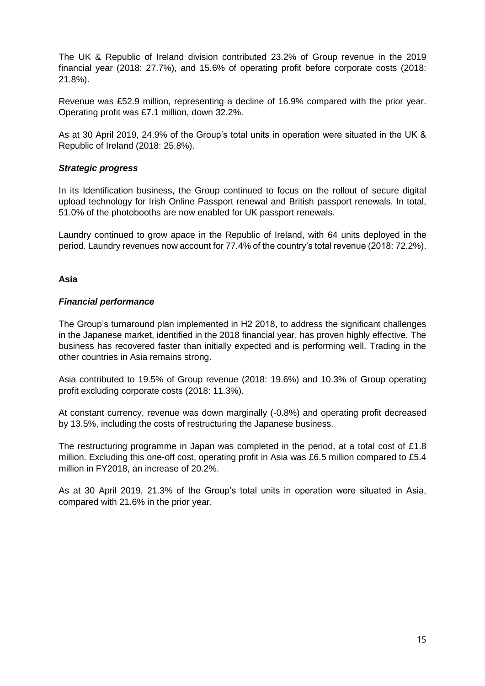The UK & Republic of Ireland division contributed 23.2% of Group revenue in the 2019 financial year (2018: 27.7%), and 15.6% of operating profit before corporate costs (2018: 21.8%).

Revenue was £52.9 million, representing a decline of 16.9% compared with the prior year. Operating profit was £7.1 million, down 32.2%.

As at 30 April 2019, 24.9% of the Group's total units in operation were situated in the UK & Republic of Ireland (2018: 25.8%).

#### *Strategic progress*

In its Identification business, the Group continued to focus on the rollout of secure digital upload technology for Irish Online Passport renewal and British passport renewals. In total, 51.0% of the photobooths are now enabled for UK passport renewals.

Laundry continued to grow apace in the Republic of Ireland, with 64 units deployed in the period. Laundry revenues now account for 77.4% of the country's total revenue (2018: 72.2%).

#### **Asia**

#### *Financial performance*

The Group's turnaround plan implemented in H2 2018, to address the significant challenges in the Japanese market, identified in the 2018 financial year, has proven highly effective. The business has recovered faster than initially expected and is performing well. Trading in the other countries in Asia remains strong.

Asia contributed to 19.5% of Group revenue (2018: 19.6%) and 10.3% of Group operating profit excluding corporate costs (2018: 11.3%).

At constant currency, revenue was down marginally (-0.8%) and operating profit decreased by 13.5%, including the costs of restructuring the Japanese business.

The restructuring programme in Japan was completed in the period, at a total cost of £1.8 million. Excluding this one-off cost, operating profit in Asia was £6.5 million compared to £5.4 million in FY2018, an increase of 20.2%.

As at 30 April 2019, 21.3% of the Group's total units in operation were situated in Asia, compared with 21.6% in the prior year.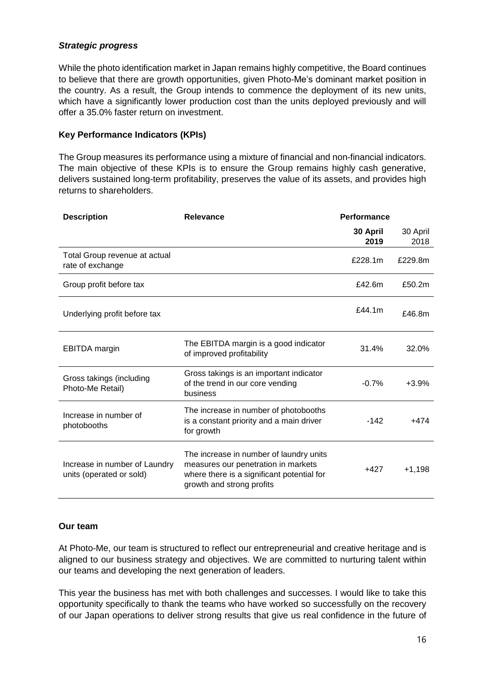# *Strategic progress*

While the photo identification market in Japan remains highly competitive, the Board continues to believe that there are growth opportunities, given Photo-Me's dominant market position in the country. As a result, the Group intends to commence the deployment of its new units, which have a significantly lower production cost than the units deployed previously and will offer a 35.0% faster return on investment.

# **Key Performance Indicators (KPIs)**

The Group measures its performance using a mixture of financial and non-financial indicators. The main objective of these KPIs is to ensure the Group remains highly cash generative, delivers sustained long-term profitability, preserves the value of its assets, and provides high returns to shareholders.

| <b>Description</b>                                        | Relevance                                                                                                                                                 | Performance      |                  |
|-----------------------------------------------------------|-----------------------------------------------------------------------------------------------------------------------------------------------------------|------------------|------------------|
|                                                           |                                                                                                                                                           | 30 April<br>2019 | 30 April<br>2018 |
| Total Group revenue at actual<br>rate of exchange         |                                                                                                                                                           | £228.1m          | £229.8m          |
| Group profit before tax                                   |                                                                                                                                                           | £42.6 $m$        | £50.2m           |
| Underlying profit before tax                              |                                                                                                                                                           | £44.1m           | £46.8m           |
| <b>EBITDA</b> margin                                      | The EBITDA margin is a good indicator<br>of improved profitability                                                                                        | 31.4%            | 32.0%            |
| Gross takings (including<br>Photo-Me Retail)              | Gross takings is an important indicator<br>of the trend in our core vending<br>business                                                                   | $-0.7%$          | $+3.9%$          |
| Increase in number of<br>photobooths                      | The increase in number of photobooths<br>is a constant priority and a main driver<br>for growth                                                           | $-142$           | $+474$           |
| Increase in number of Laundry<br>units (operated or sold) | The increase in number of laundry units<br>measures our penetration in markets<br>where there is a significant potential for<br>growth and strong profits | $+427$           | $+1,198$         |

# **Our team**

At Photo-Me, our team is structured to reflect our entrepreneurial and creative heritage and is aligned to our business strategy and objectives. We are committed to nurturing talent within our teams and developing the next generation of leaders.

This year the business has met with both challenges and successes. I would like to take this opportunity specifically to thank the teams who have worked so successfully on the recovery of our Japan operations to deliver strong results that give us real confidence in the future of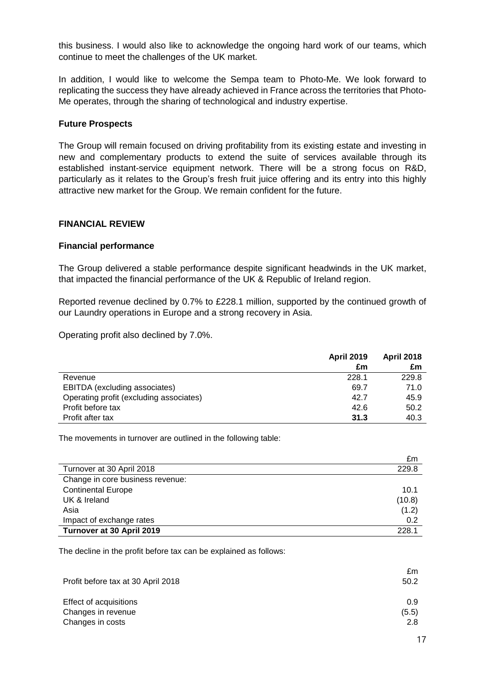this business. I would also like to acknowledge the ongoing hard work of our teams, which continue to meet the challenges of the UK market.

In addition, I would like to welcome the Sempa team to Photo-Me. We look forward to replicating the success they have already achieved in France across the territories that Photo-Me operates, through the sharing of technological and industry expertise.

#### **Future Prospects**

The Group will remain focused on driving profitability from its existing estate and investing in new and complementary products to extend the suite of services available through its established instant-service equipment network. There will be a strong focus on R&D, particularly as it relates to the Group's fresh fruit juice offering and its entry into this highly attractive new market for the Group. We remain confident for the future.

#### **FINANCIAL REVIEW**

#### **Financial performance**

The Group delivered a stable performance despite significant headwinds in the UK market, that impacted the financial performance of the UK & Republic of Ireland region.

Reported revenue declined by 0.7% to £228.1 million, supported by the continued growth of our Laundry operations in Europe and a strong recovery in Asia.

Operating profit also declined by 7.0%.

|                                         | <b>April 2019</b> | <b>April 2018</b> |
|-----------------------------------------|-------------------|-------------------|
|                                         | £m                | £m                |
| Revenue                                 | 228.1             | 229.8             |
| EBITDA (excluding associates)           | 69.7              | 71.0              |
| Operating profit (excluding associates) | 42.7              | 45.9              |
| Profit before tax                       | 42.6              | 50.2              |
| Profit after tax                        | 31.3              | 40.3              |

The movements in turnover are outlined in the following table:

|                                  | £M     |
|----------------------------------|--------|
| Turnover at 30 April 2018        | 229.8  |
| Change in core business revenue: |        |
| <b>Continental Europe</b>        | 10.1   |
| UK & Ireland                     | (10.8) |
| Asia                             | (1.2)  |
| Impact of exchange rates         | 0.2    |
| Turnover at 30 April 2019        | 228.1  |

The decline in the profit before tax can be explained as follows:

|                                    | £m    |
|------------------------------------|-------|
| Profit before tax at 30 April 2018 | 50.2  |
| Effect of acquisitions             | 0.9   |
| Changes in revenue                 | (5.5) |
| Changes in costs                   | 2.8   |

£m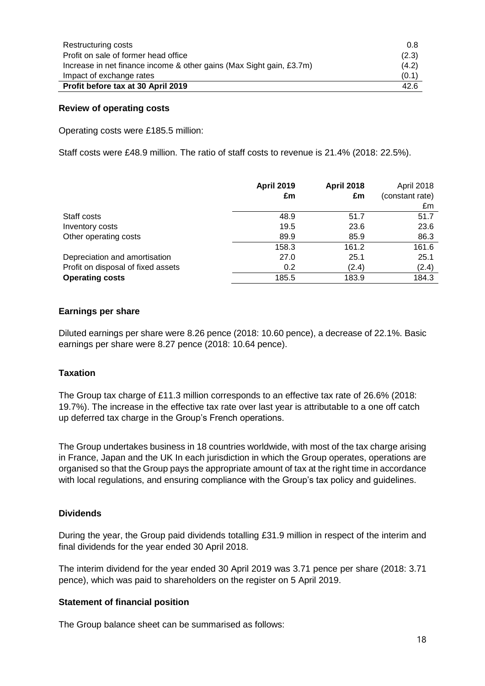| Restructuring costs                                                  | 0.8   |
|----------------------------------------------------------------------|-------|
| Profit on sale of former head office                                 | (2.3) |
| Increase in net finance income & other gains (Max Sight gain, £3.7m) | (4.2) |
| Impact of exchange rates                                             | (0.1) |
| Profit before tax at 30 April 2019                                   | 42.6  |

#### **Review of operating costs**

Operating costs were £185.5 million:

Staff costs were £48.9 million. The ratio of staff costs to revenue is 21.4% (2018: 22.5%).

|                                    | <b>April 2019</b><br>£m | <b>April 2018</b><br>£m | April 2018<br>(constant rate)<br>£m |
|------------------------------------|-------------------------|-------------------------|-------------------------------------|
| Staff costs                        | 48.9                    | 51.7                    | 51.7                                |
| Inventory costs                    | 19.5                    | 23.6                    | 23.6                                |
| Other operating costs              | 89.9                    | 85.9                    | 86.3                                |
|                                    | 158.3                   | 161.2                   | 161.6                               |
| Depreciation and amortisation      | 27.0                    | 25.1                    | 25.1                                |
| Profit on disposal of fixed assets | 0.2                     | (2.4)                   | (2.4)                               |
| <b>Operating costs</b>             | 185.5                   | 183.9                   | 184.3                               |

#### **Earnings per share**

Diluted earnings per share were 8.26 pence (2018: 10.60 pence), a decrease of 22.1%. Basic earnings per share were 8.27 pence (2018: 10.64 pence).

#### **Taxation**

The Group tax charge of £11.3 million corresponds to an effective tax rate of 26.6% (2018: 19.7%). The increase in the effective tax rate over last year is attributable to a one off catch up deferred tax charge in the Group's French operations.

The Group undertakes business in 18 countries worldwide, with most of the tax charge arising in France, Japan and the UK In each jurisdiction in which the Group operates, operations are organised so that the Group pays the appropriate amount of tax at the right time in accordance with local regulations, and ensuring compliance with the Group's tax policy and guidelines.

#### **Dividends**

During the year, the Group paid dividends totalling £31.9 million in respect of the interim and final dividends for the year ended 30 April 2018.

The interim dividend for the year ended 30 April 2019 was 3.71 pence per share (2018: 3.71 pence), which was paid to shareholders on the register on 5 April 2019.

#### **Statement of financial position**

The Group balance sheet can be summarised as follows: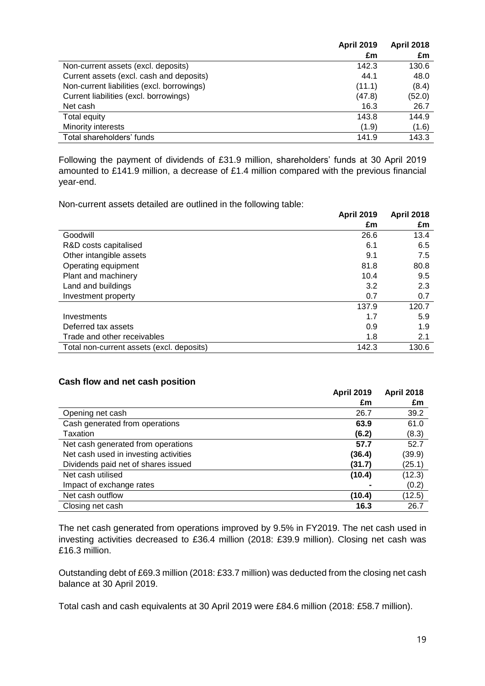|                                            | <b>April 2019</b> | <b>April 2018</b> |
|--------------------------------------------|-------------------|-------------------|
|                                            | £m                | £m                |
| Non-current assets (excl. deposits)        | 142.3             | 130.6             |
| Current assets (excl. cash and deposits)   | 44.1              | 48.0              |
| Non-current liabilities (excl. borrowings) | (11.1)            | (8.4)             |
| Current liabilities (excl. borrowings)     | (47.8)            | (52.0)            |
| Net cash                                   | 16.3              | 26.7              |
| Total equity                               | 143.8             | 144.9             |
| Minority interests                         | (1.9)             | (1.6)             |
| Total shareholders' funds                  | 141.9             | 143.3             |

Following the payment of dividends of £31.9 million, shareholders' funds at 30 April 2019 amounted to £141.9 million, a decrease of £1.4 million compared with the previous financial year-end.

Non-current assets detailed are outlined in the following table:

|                                           | <b>April 2019</b> | <b>April 2018</b> |
|-------------------------------------------|-------------------|-------------------|
|                                           | £m                | £m                |
| Goodwill                                  | 26.6              | 13.4              |
| R&D costs capitalised                     | 6.1               | 6.5               |
| Other intangible assets                   | 9.1               | 7.5               |
| Operating equipment                       | 81.8              | 80.8              |
| Plant and machinery                       | 10.4              | 9.5               |
| Land and buildings                        | 3.2               | 2.3               |
| Investment property                       | 0.7               | 0.7               |
|                                           | 137.9             | 120.7             |
| Investments                               | 1.7               | 5.9               |
| Deferred tax assets                       | 0.9               | 1.9               |
| Trade and other receivables               | 1.8               | 2.1               |
| Total non-current assets (excl. deposits) | 142.3             | 130.6             |

#### **Cash flow and net cash position**

|                                       | <b>April 2019</b><br>£m | <b>April 2018</b><br>£m |
|---------------------------------------|-------------------------|-------------------------|
| Opening net cash                      | 26.7                    | 39.2                    |
| Cash generated from operations        | 63.9                    | 61.0                    |
| Taxation                              | (6.2)                   | (8.3)                   |
| Net cash generated from operations    | 57.7                    | 52.7                    |
| Net cash used in investing activities | (36.4)                  | (39.9)                  |
| Dividends paid net of shares issued   | (31.7)                  | (25.1)                  |
| Net cash utilised                     | (10.4)                  | (12.3)                  |
| Impact of exchange rates              |                         | (0.2)                   |
| Net cash outflow                      | (10.4)                  | (12.5)                  |
| Closing net cash                      | 16.3                    | 26.7                    |

The net cash generated from operations improved by 9.5% in FY2019. The net cash used in investing activities decreased to £36.4 million (2018: £39.9 million). Closing net cash was £16.3 million.

Outstanding debt of £69.3 million (2018: £33.7 million) was deducted from the closing net cash balance at 30 April 2019.

Total cash and cash equivalents at 30 April 2019 were £84.6 million (2018: £58.7 million).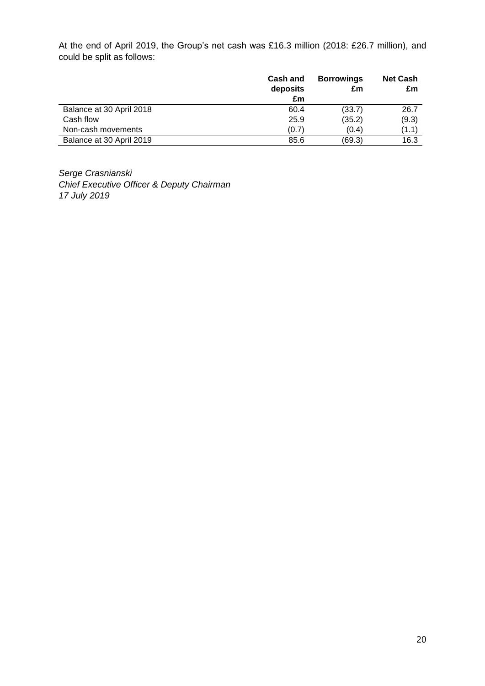At the end of April 2019, the Group's net cash was £16.3 million (2018: £26.7 million), and could be split as follows:

|                          | <b>Cash and</b><br>deposits | <b>Borrowings</b><br>£m | <b>Net Cash</b><br>£m |
|--------------------------|-----------------------------|-------------------------|-----------------------|
| Balance at 30 April 2018 | £m<br>60.4                  | (33.7)                  | 26.7                  |
| Cash flow                | 25.9                        | (35.2)                  | (9.3)                 |
| Non-cash movements       | (0.7)                       | (0.4)                   | (1.1)                 |
| Balance at 30 April 2019 | 85.6                        | (69.3)                  | 16.3                  |

*Serge Crasnianski Chief Executive Officer & Deputy Chairman 17 July 2019*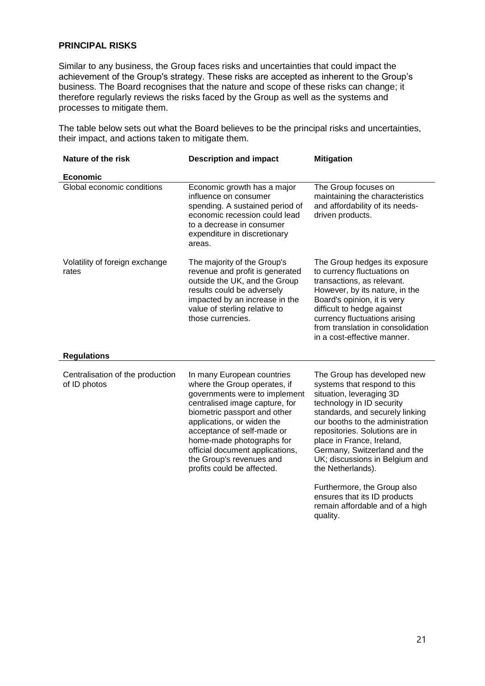# **PRINCIPAL RISKS**

Similar to any business, the Group faces risks and uncertainties that could impact the achievement of the Group's strategy. These risks are accepted as inherent to the Group's business. The Board recognises that the nature and scope of these risks can change; it therefore regularly reviews the risks faced by the Group as well as the systems and processes to mitigate them.

The table below sets out what the Board believes to be the principal risks and uncertainties, their impact, and actions taken to mitigate them.

| Nature of the risk                               | <b>Description and impact</b>                                                                                                                                                                                                                                                                                                                       | <b>Mitigation</b>                                                                                                                                                                                                                                                                                                                                 |
|--------------------------------------------------|-----------------------------------------------------------------------------------------------------------------------------------------------------------------------------------------------------------------------------------------------------------------------------------------------------------------------------------------------------|---------------------------------------------------------------------------------------------------------------------------------------------------------------------------------------------------------------------------------------------------------------------------------------------------------------------------------------------------|
| <b>Economic</b>                                  |                                                                                                                                                                                                                                                                                                                                                     |                                                                                                                                                                                                                                                                                                                                                   |
| Global economic conditions                       | Economic growth has a major<br>influence on consumer<br>spending. A sustained period of<br>economic recession could lead<br>to a decrease in consumer<br>expenditure in discretionary<br>areas.                                                                                                                                                     | The Group focuses on<br>maintaining the characteristics<br>and affordability of its needs-<br>driven products.                                                                                                                                                                                                                                    |
| Volatility of foreign exchange<br>rates          | The majority of the Group's<br>revenue and profit is generated<br>outside the UK, and the Group<br>results could be adversely<br>impacted by an increase in the<br>value of sterling relative to<br>those currencies.                                                                                                                               | The Group hedges its exposure<br>to currency fluctuations on<br>transactions, as relevant.<br>However, by its nature, in the<br>Board's opinion, it is very<br>difficult to hedge against<br>currency fluctuations arising<br>from translation in consolidation<br>in a cost-effective manner.                                                    |
| <b>Regulations</b>                               |                                                                                                                                                                                                                                                                                                                                                     |                                                                                                                                                                                                                                                                                                                                                   |
| Centralisation of the production<br>of ID photos | In many European countries<br>where the Group operates, if<br>governments were to implement<br>centralised image capture, for<br>biometric passport and other<br>applications, or widen the<br>acceptance of self-made or<br>home-made photographs for<br>official document applications,<br>the Group's revenues and<br>profits could be affected. | The Group has developed new<br>systems that respond to this<br>situation, leveraging 3D<br>technology in ID security<br>standards, and securely linking<br>our booths to the administration<br>repositories. Solutions are in<br>place in France, Ireland,<br>Germany, Switzerland and the<br>UK; discussions in Belgium and<br>the Netherlands). |
|                                                  |                                                                                                                                                                                                                                                                                                                                                     | Furthermore, the Group also<br>ensures that its ID products<br>remain affordable and of a high<br>quality.                                                                                                                                                                                                                                        |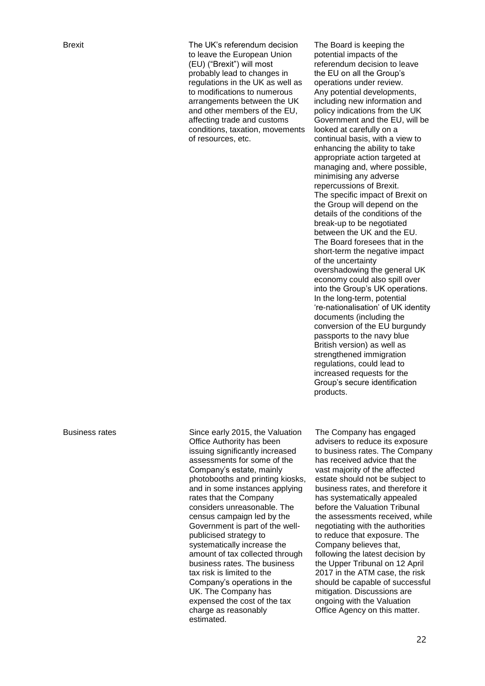Brexit The UK's referendum decision to leave the European Union (EU) ("Brexit") will most probably lead to changes in regulations in the UK as well as to modifications to numerous arrangements between the UK and other members of the EU, affecting trade and customs conditions, taxation, movements of resources, etc.

The Board is keeping the potential impacts of the referendum decision to leave the EU on all the Group's operations under review. Any potential developments, including new information and policy indications from the UK Government and the EU, will be looked at carefully on a continual basis, with a view to enhancing the ability to take appropriate action targeted at managing and, where possible, minimising any adverse repercussions of Brexit. The specific impact of Brexit on the Group will depend on the details of the conditions of the break-up to be negotiated between the UK and the EU. The Board foresees that in the short-term the negative impact of the uncertainty overshadowing the general UK economy could also spill over into the Group's UK operations. In the long-term, potential 're-nationalisation' of UK identity documents (including the conversion of the EU burgundy passports to the navy blue British version) as well as strengthened immigration regulations, could lead to increased requests for the Group's secure identification products.

Business rates Since early 2015, the Valuation Office Authority has been issuing significantly increased assessments for some of the Company's estate, mainly photobooths and printing kiosks, and in some instances applying rates that the Company considers unreasonable. The census campaign led by the Government is part of the wellpublicised strategy to systematically increase the amount of tax collected through business rates. The business tax risk is limited to the Company's operations in the UK. The Company has expensed the cost of the tax charge as reasonably estimated.

The Company has engaged advisers to reduce its exposure to business rates. The Company has received advice that the vast majority of the affected estate should not be subject to business rates, and therefore it has systematically appealed before the Valuation Tribunal the assessments received, while negotiating with the authorities to reduce that exposure. The Company believes that, following the latest decision by the Upper Tribunal on 12 April 2017 in the ATM case, the risk should be capable of successful mitigation. Discussions are ongoing with the Valuation Office Agency on this matter.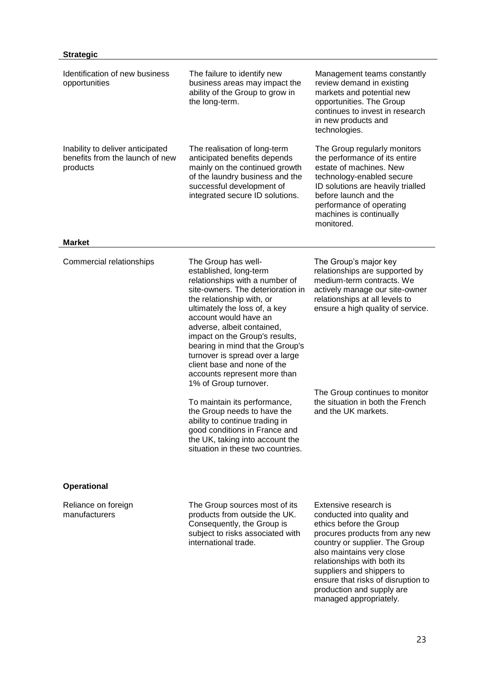# **Strategic**

| Identification of new business<br>opportunities                                                  | The failure to identify new<br>business areas may impact the<br>ability of the Group to grow in<br>the long-term.                                                                                                                                                                                                                                                                                                 | Management teams constantly<br>review demand in existing<br>markets and potential new<br>opportunities. The Group<br>continues to invest in research<br>in new products and<br>technologies.                                                                                                                                             |
|--------------------------------------------------------------------------------------------------|-------------------------------------------------------------------------------------------------------------------------------------------------------------------------------------------------------------------------------------------------------------------------------------------------------------------------------------------------------------------------------------------------------------------|------------------------------------------------------------------------------------------------------------------------------------------------------------------------------------------------------------------------------------------------------------------------------------------------------------------------------------------|
| Inability to deliver anticipated<br>benefits from the launch of new<br>products<br><b>Market</b> | The realisation of long-term<br>anticipated benefits depends<br>mainly on the continued growth<br>of the laundry business and the<br>successful development of<br>integrated secure ID solutions.                                                                                                                                                                                                                 | The Group regularly monitors<br>the performance of its entire<br>estate of machines. New<br>technology-enabled secure<br>ID solutions are heavily trialled<br>before launch and the<br>performance of operating<br>machines is continually<br>monitored.                                                                                 |
| Commercial relationships                                                                         | The Group has well-<br>established, long-term<br>relationships with a number of<br>site-owners. The deterioration in<br>the relationship with, or<br>ultimately the loss of, a key<br>account would have an<br>adverse, albeit contained,<br>impact on the Group's results,<br>bearing in mind that the Group's<br>turnover is spread over a large<br>client base and none of the<br>accounts represent more than | The Group's major key<br>relationships are supported by<br>medium-term contracts. We<br>actively manage our site-owner<br>relationships at all levels to<br>ensure a high quality of service.                                                                                                                                            |
|                                                                                                  | 1% of Group turnover.<br>To maintain its performance,<br>the Group needs to have the<br>ability to continue trading in<br>good conditions in France and<br>the UK, taking into account the<br>situation in these two countries.                                                                                                                                                                                   | The Group continues to monitor<br>the situation in both the French<br>and the UK markets.                                                                                                                                                                                                                                                |
| <b>Operational</b>                                                                               |                                                                                                                                                                                                                                                                                                                                                                                                                   |                                                                                                                                                                                                                                                                                                                                          |
| Reliance on foreign<br>manufacturers                                                             | The Group sources most of its<br>products from outside the UK.<br>Consequently, the Group is<br>subject to risks associated with<br>international trade.                                                                                                                                                                                                                                                          | Extensive research is<br>conducted into quality and<br>ethics before the Group<br>procures products from any new<br>country or supplier. The Group<br>also maintains very close<br>relationships with both its<br>suppliers and shippers to<br>ensure that risks of disruption to<br>production and supply are<br>managed appropriately. |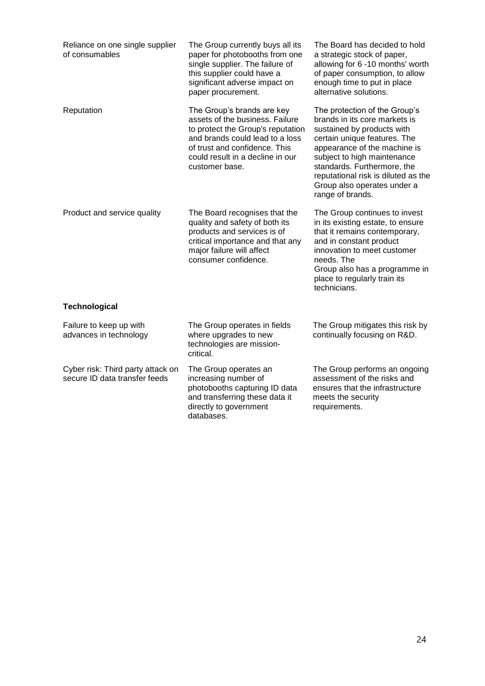| Reliance on one single supplier<br>of consumables                  | The Group currently buys all its<br>paper for photobooths from one<br>single supplier. The failure of<br>this supplier could have a<br>significant adverse impact on<br>paper procurement.                                   | The Board has decided to hold<br>a strategic stock of paper,<br>allowing for 6 -10 months' worth<br>of paper consumption, to allow<br>enough time to put in place<br>alternative solutions.                                                                                                                          |
|--------------------------------------------------------------------|------------------------------------------------------------------------------------------------------------------------------------------------------------------------------------------------------------------------------|----------------------------------------------------------------------------------------------------------------------------------------------------------------------------------------------------------------------------------------------------------------------------------------------------------------------|
| Reputation                                                         | The Group's brands are key<br>assets of the business. Failure<br>to protect the Group's reputation<br>and brands could lead to a loss<br>of trust and confidence. This<br>could result in a decline in our<br>customer base. | The protection of the Group's<br>brands in its core markets is<br>sustained by products with<br>certain unique features. The<br>appearance of the machine is<br>subject to high maintenance<br>standards. Furthermore, the<br>reputational risk is diluted as the<br>Group also operates under a<br>range of brands. |
| Product and service quality                                        | The Board recognises that the<br>quality and safety of both its<br>products and services is of<br>critical importance and that any<br>major failure will affect<br>consumer confidence.                                      | The Group continues to invest<br>in its existing estate, to ensure<br>that it remains contemporary,<br>and in constant product<br>innovation to meet customer<br>needs. The<br>Group also has a programme in<br>place to regularly train its<br>technicians.                                                         |
| <b>Technological</b>                                               |                                                                                                                                                                                                                              |                                                                                                                                                                                                                                                                                                                      |
| Failure to keep up with<br>advances in technology                  | The Group operates in fields<br>where upgrades to new<br>technologies are mission-<br>critical.                                                                                                                              | The Group mitigates this risk by<br>continually focusing on R&D.                                                                                                                                                                                                                                                     |
| Cyber risk: Third party attack on<br>secure ID data transfer feeds | The Group operates an<br>increasing number of<br>photobooths capturing ID data<br>and transferring these data it<br>directly to government                                                                                   | The Group performs an ongoing<br>assessment of the risks and<br>ensures that the infrastructure<br>meets the security<br>requirements.                                                                                                                                                                               |

databases.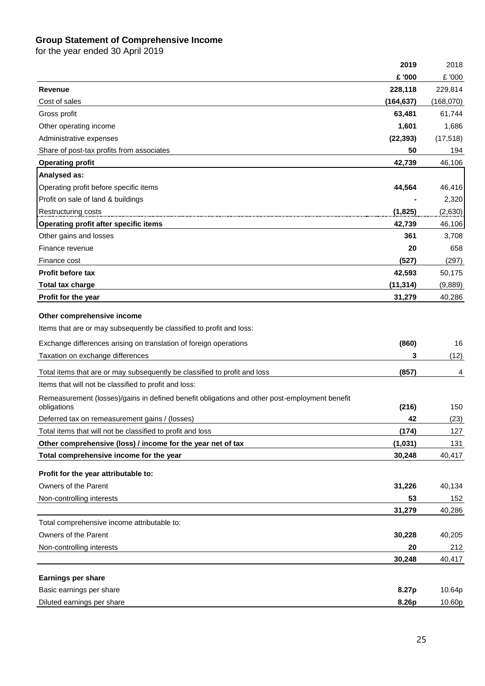#### **Group Statement of Comprehensive Income**

|                                                                                                              | 2019       | 2018      |
|--------------------------------------------------------------------------------------------------------------|------------|-----------|
|                                                                                                              | £ '000     | £ '000    |
| <b>Revenue</b>                                                                                               | 228,118    | 229,814   |
| Cost of sales                                                                                                | (164, 637) | (168,070) |
| Gross profit                                                                                                 | 63,481     | 61,744    |
| Other operating income                                                                                       | 1,601      | 1,686     |
| Administrative expenses                                                                                      | (22, 393)  | (17, 518) |
| Share of post-tax profits from associates                                                                    | 50         | 194       |
| <b>Operating profit</b>                                                                                      | 42,739     | 46,106    |
| Analysed as:                                                                                                 |            |           |
| Operating profit before specific items                                                                       | 44,564     | 46,416    |
| Profit on sale of land & buildings                                                                           |            | 2,320     |
| Restructuring costs                                                                                          | (1,825)    | (2,630)   |
| Operating profit after specific items                                                                        | 42,739     | 46,106    |
| Other gains and losses                                                                                       | 361        | 3,708     |
| Finance revenue                                                                                              | 20         | 658       |
| Finance cost                                                                                                 | (527)      | (297)     |
| <b>Profit before tax</b>                                                                                     | 42,593     | 50,175    |
| <b>Total tax charge</b>                                                                                      | (11, 314)  | (9,889)   |
| Profit for the year                                                                                          | 31,279     | 40,286    |
|                                                                                                              |            |           |
| Other comprehensive income                                                                                   |            |           |
| Items that are or may subsequently be classified to profit and loss:                                         |            |           |
| Exchange differences arising on translation of foreign operations                                            | (860)      | 16        |
| Taxation on exchange differences                                                                             | 3          | (12)      |
| Total items that are or may subsequently be classified to profit and loss                                    | (857)      | 4         |
| Items that will not be classified to profit and loss:                                                        |            |           |
| Remeasurement (losses)/gains in defined benefit obligations and other post-employment benefit<br>obligations | (216)      | 150       |
| Deferred tax on remeasurement gains / (losses)                                                               | 42         | (23)      |
| Total items that will not be classified to profit and loss                                                   | (174)      | 127       |
| Other comprehensive (loss) / income for the year net of tax                                                  | (1,031)    | 131       |
| Total comprehensive income for the year                                                                      | 30,248     | 40,417    |
|                                                                                                              |            |           |
| Profit for the year attributable to:                                                                         |            |           |
| Owners of the Parent                                                                                         | 31,226     | 40,134    |
| Non-controlling interests                                                                                    | 53         | 152       |
|                                                                                                              | 31,279     | 40,286    |
| Total comprehensive income attributable to:                                                                  |            |           |
| Owners of the Parent                                                                                         | 30,228     | 40,205    |
| Non-controlling interests                                                                                    | 20         | 212       |
|                                                                                                              | 30,248     | 40,417    |
| Earnings per share                                                                                           |            |           |
| Basic earnings per share                                                                                     | 8.27p      | 10.64p    |
| Diluted earnings per share                                                                                   | 8.26p      | 10.60p    |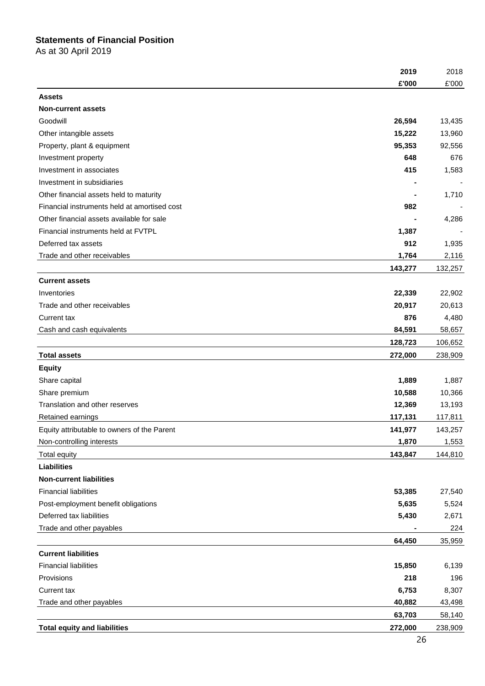# **Statements of Financial Position**

As at 30 April 2019

|                                              | 2019    | 2018    |
|----------------------------------------------|---------|---------|
|                                              | £'000   | £'000   |
| <b>Assets</b>                                |         |         |
| <b>Non-current assets</b>                    |         |         |
| Goodwill                                     | 26,594  | 13,435  |
| Other intangible assets                      | 15,222  | 13,960  |
| Property, plant & equipment                  | 95,353  | 92,556  |
| Investment property                          | 648     | 676     |
| Investment in associates                     | 415     | 1,583   |
| Investment in subsidiaries                   |         |         |
| Other financial assets held to maturity      |         | 1,710   |
| Financial instruments held at amortised cost | 982     |         |
| Other financial assets available for sale    |         | 4,286   |
| Financial instruments held at FVTPL          | 1,387   |         |
| Deferred tax assets                          | 912     | 1,935   |
| Trade and other receivables                  | 1,764   | 2,116   |
|                                              | 143,277 | 132,257 |
| <b>Current assets</b>                        |         |         |
| Inventories                                  | 22,339  | 22,902  |
| Trade and other receivables                  | 20,917  | 20,613  |
| Current tax                                  | 876     | 4,480   |
| Cash and cash equivalents                    | 84,591  | 58,657  |
|                                              | 128,723 | 106,652 |
| <b>Total assets</b>                          | 272,000 | 238,909 |
| <b>Equity</b>                                |         |         |
| Share capital                                | 1,889   | 1,887   |
| Share premium                                | 10,588  | 10,366  |
| Translation and other reserves               | 12,369  | 13,193  |
| Retained earnings                            | 117,131 | 117,811 |
| Equity attributable to owners of the Parent  | 141,977 | 143,257 |
| Non-controlling interests                    | 1,870   | 1,553   |
| <b>Total equity</b>                          | 143,847 | 144,810 |
| <b>Liabilities</b>                           |         |         |
| <b>Non-current liabilities</b>               |         |         |
| <b>Financial liabilities</b>                 | 53,385  | 27,540  |
| Post-employment benefit obligations          | 5,635   | 5,524   |
| Deferred tax liabilities                     | 5,430   | 2,671   |
| Trade and other payables                     |         | 224     |
|                                              | 64,450  | 35,959  |
| <b>Current liabilities</b>                   |         |         |
| <b>Financial liabilities</b>                 | 15,850  | 6,139   |
| Provisions                                   | 218     | 196     |
| Current tax                                  | 6,753   | 8,307   |
| Trade and other payables                     | 40,882  | 43,498  |
|                                              | 63,703  | 58,140  |
| <b>Total equity and liabilities</b>          | 272,000 | 238,909 |
|                                              |         |         |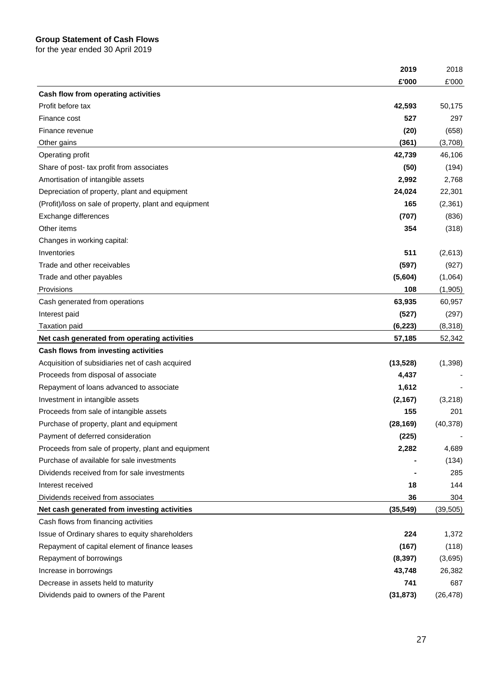#### **Group Statement of Cash Flows**

|                                                               | 2018      |
|---------------------------------------------------------------|-----------|
| £'000                                                         | £'000     |
| Cash flow from operating activities                           |           |
| Profit before tax<br>42,593                                   | 50,175    |
| 527<br>Finance cost                                           | 297       |
| (20)<br>Finance revenue                                       | (658)     |
| (361)<br>Other gains                                          | (3,708)   |
| 42,739<br>Operating profit                                    | 46,106    |
| Share of post- tax profit from associates<br>(50)             | (194)     |
| Amortisation of intangible assets<br>2,992                    | 2,768     |
| 24,024<br>Depreciation of property, plant and equipment       | 22,301    |
| 165<br>(Profit)/loss on sale of property, plant and equipment | (2, 361)  |
| Exchange differences<br>(707)                                 | (836)     |
| 354<br>Other items                                            | (318)     |
| Changes in working capital:                                   |           |
| 511<br>Inventories                                            | (2,613)   |
| Trade and other receivables<br>(597)                          | (927)     |
| (5,604)<br>Trade and other payables                           | (1,064)   |
| Provisions<br>108                                             | (1,905)   |
| 63,935<br>Cash generated from operations                      | 60,957    |
| Interest paid<br>(527)                                        | (297)     |
| (6, 223)<br>Taxation paid                                     | (8,318)   |
| Net cash generated from operating activities<br>57,185        | 52,342    |
| Cash flows from investing activities                          |           |
| Acquisition of subsidiaries net of cash acquired<br>(13, 528) | (1, 398)  |
| Proceeds from disposal of associate<br>4,437                  |           |
| Repayment of loans advanced to associate<br>1,612             |           |
| Investment in intangible assets<br>(2, 167)                   | (3,218)   |
| Proceeds from sale of intangible assets<br>155                | 201       |
| Purchase of property, plant and equipment<br>(28, 169)        | (40, 378) |
| (225)<br>Payment of deferred consideration                    |           |
| 2,282<br>Proceeds from sale of property, plant and equipment  | 4,689     |
| Purchase of available for sale investments                    | (134)     |
| Dividends received from for sale investments                  | 285       |
| Interest received<br>18                                       | 144       |
| Dividends received from associates<br>36                      | 304       |
| Net cash generated from investing activities<br>(35, 549)     | (39, 505) |
| Cash flows from financing activities                          |           |
| 224<br>Issue of Ordinary shares to equity shareholders        | 1,372     |
| Repayment of capital element of finance leases<br>(167)       | (118)     |
| Repayment of borrowings<br>(8, 397)                           | (3,695)   |
| Increase in borrowings<br>43,748                              | 26,382    |
| Decrease in assets held to maturity<br>741                    | 687       |
| Dividends paid to owners of the Parent<br>(31, 873)           | (26, 478) |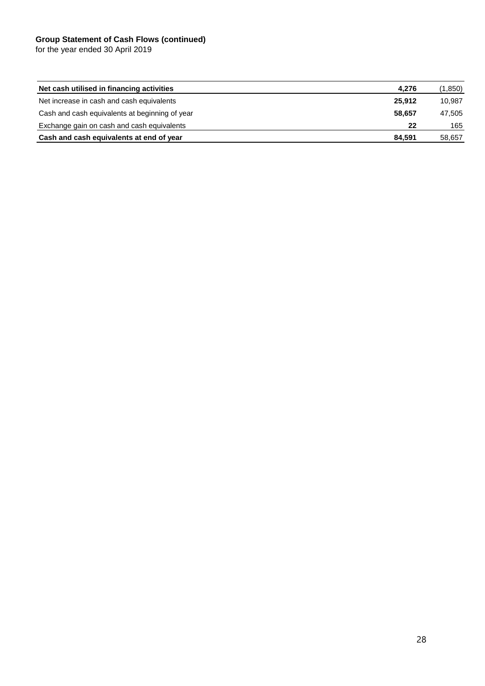#### **Group Statement of Cash Flows (continued)**

| Net cash utilised in financing activities      | 4,276  | (1,850) |
|------------------------------------------------|--------|---------|
| Net increase in cash and cash equivalents      | 25.912 | 10.987  |
| Cash and cash equivalents at beginning of year | 58.657 | 47.505  |
| Exchange gain on cash and cash equivalents     | 22     | 165     |
| Cash and cash equivalents at end of year       | 84,591 | 58,657  |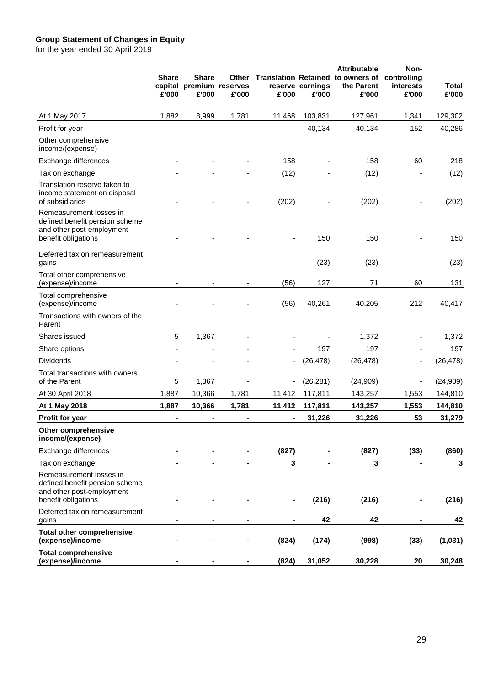#### **Group Statement of Changes in Equity**

|                                                                                                               | <b>Share</b><br>£'000 | <b>Share</b><br>capital premium reserves<br>£'000 | Other<br>£'000 | £'000          | reserve earnings<br>£'000 | <b>Attributable</b><br>Translation Retained to owners of controlling<br>the Parent<br>£'000 | Non-<br>interests<br>£'000 | <b>Total</b><br>£'000 |
|---------------------------------------------------------------------------------------------------------------|-----------------------|---------------------------------------------------|----------------|----------------|---------------------------|---------------------------------------------------------------------------------------------|----------------------------|-----------------------|
| At 1 May 2017                                                                                                 | 1,882                 | 8,999                                             | 1,781          | 11,468         | 103,831                   | 127,961                                                                                     | 1,341                      | 129,302               |
| Profit for year                                                                                               |                       |                                                   |                |                | 40,134                    | 40,134                                                                                      | 152                        | 40,286                |
| Other comprehensive<br>income/(expense)                                                                       |                       |                                                   |                |                |                           |                                                                                             |                            |                       |
| Exchange differences                                                                                          |                       |                                                   |                | 158            |                           | 158                                                                                         | 60                         | 218                   |
| Tax on exchange                                                                                               |                       |                                                   |                | (12)           |                           | (12)                                                                                        |                            | (12)                  |
| Translation reserve taken to<br>income statement on disposal<br>of subsidiaries                               |                       |                                                   |                | (202)          |                           | (202)                                                                                       |                            | (202)                 |
| Remeasurement losses in<br>defined benefit pension scheme<br>and other post-employment<br>benefit obligations |                       |                                                   |                |                | 150                       | 150                                                                                         |                            | 150                   |
| Deferred tax on remeasurement<br>gains                                                                        |                       |                                                   |                |                | (23)                      | (23)                                                                                        |                            | (23)                  |
| Total other comprehensive<br>(expense)/income                                                                 | $\blacksquare$        |                                                   |                | (56)           | 127                       | 71                                                                                          | 60                         | 131                   |
| Total comprehensive<br>(expense)/income                                                                       |                       |                                                   |                | (56)           | 40,261                    | 40,205                                                                                      | 212                        | 40,417                |
| Transactions with owners of the<br>Parent                                                                     |                       |                                                   |                |                |                           |                                                                                             |                            |                       |
| Shares issued                                                                                                 | 5                     | 1,367                                             |                |                |                           | 1,372                                                                                       |                            | 1,372                 |
| Share options                                                                                                 |                       |                                                   |                |                | 197                       | 197                                                                                         |                            | 197                   |
| <b>Dividends</b>                                                                                              |                       |                                                   |                | $\blacksquare$ | (26, 478)                 | (26, 478)                                                                                   |                            | (26, 478)             |
| Total transactions with owners<br>of the Parent                                                               | $\sqrt{5}$            | 1,367                                             |                |                | (26, 281)                 | (24, 909)                                                                                   | $\overline{\phantom{a}}$   | (24, 909)             |
| At 30 April 2018                                                                                              | 1,887                 | 10,366                                            | 1,781          | 11,412         | 117,811                   | 143,257                                                                                     | 1,553                      | 144,810               |
| At 1 May 2018                                                                                                 | 1,887                 | 10,366                                            | 1,781          | 11,412         | 117,811                   | 143,257                                                                                     | 1,553                      | 144,810               |
| Profit for year                                                                                               |                       |                                                   |                |                | 31,226                    | 31,226                                                                                      | 53                         | 31,279                |
| Other comprehensive<br>income/(expense)                                                                       |                       |                                                   |                |                |                           |                                                                                             |                            |                       |
| Exchange differences                                                                                          |                       |                                                   |                | (827)          |                           | (827)                                                                                       | (33)                       | (860)                 |
| Tax on exchange                                                                                               |                       |                                                   |                | 3              |                           | 3                                                                                           |                            | 3                     |
| Remeasurement losses in<br>defined benefit pension scheme<br>and other post-employment<br>benefit obligations |                       |                                                   |                |                | (216)                     | (216)                                                                                       |                            | (216)                 |
| Deferred tax on remeasurement<br>gains                                                                        |                       |                                                   |                |                | 42                        | 42                                                                                          |                            | 42                    |
| <b>Total other comprehensive</b><br>(expense)/income                                                          |                       |                                                   |                | (824)          | (174)                     | (998)                                                                                       | (33)                       | (1,031)               |
| <b>Total comprehensive</b><br>(expense)/income                                                                |                       |                                                   |                | (824)          | 31,052                    | 30,228                                                                                      | 20                         | 30,248                |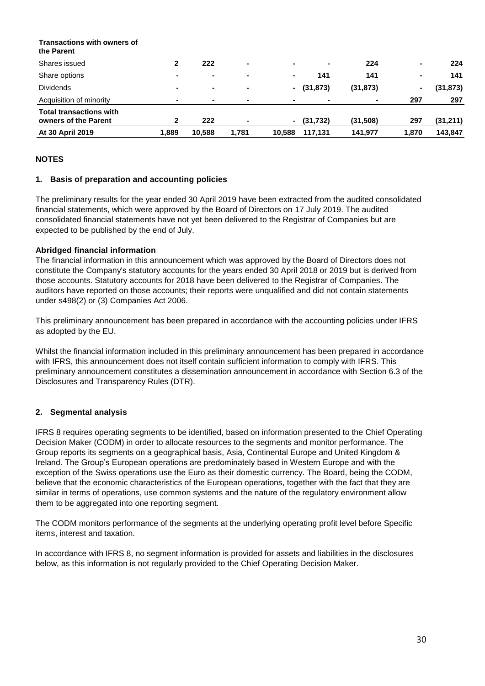| Transactions with owners of<br>the Parent              |                |                |                |                |           |           |       |           |
|--------------------------------------------------------|----------------|----------------|----------------|----------------|-----------|-----------|-------|-----------|
| Shares issued                                          | $\mathbf{2}$   | 222            | $\blacksquare$ | $\blacksquare$ | $\sim$    | 224       | ۰.    | 224       |
| Share options                                          | $\blacksquare$ | $\blacksquare$ | $\blacksquare$ | $\blacksquare$ | 141       | 141       | ۰.    | 141       |
| <b>Dividends</b>                                       | ۰              | $\blacksquare$ | $\blacksquare$ | $\sim$         | (31, 873) | (31, 873) | ٠.    | (31, 873) |
| Acquisition of minority                                | $\blacksquare$ | $\blacksquare$ | $\blacksquare$ |                |           |           | 297   | 297       |
| <b>Total transactions with</b><br>owners of the Parent | 2              | 222            | $\blacksquare$ | $\blacksquare$ | (31, 732) | (31,508)  | 297   | (31,211)  |
| At 30 April 2019                                       | 1,889          | 10,588         | 1,781          | 10,588         | 117,131   | 141,977   | 1,870 | 143,847   |

#### **NOTES**

#### **1. Basis of preparation and accounting policies**

The preliminary results for the year ended 30 April 2019 have been extracted from the audited consolidated financial statements, which were approved by the Board of Directors on 17 July 2019. The audited consolidated financial statements have not yet been delivered to the Registrar of Companies but are expected to be published by the end of July.

#### **Abridged financial information**

The financial information in this announcement which was approved by the Board of Directors does not constitute the Company's statutory accounts for the years ended 30 April 2018 or 2019 but is derived from those accounts. Statutory accounts for 2018 have been delivered to the Registrar of Companies. The auditors have reported on those accounts; their reports were unqualified and did not contain statements under s498(2) or (3) Companies Act 2006.

This preliminary announcement has been prepared in accordance with the accounting policies under IFRS as adopted by the EU.

Whilst the financial information included in this preliminary announcement has been prepared in accordance with IFRS, this announcement does not itself contain sufficient information to comply with IFRS. This preliminary announcement constitutes a dissemination announcement in accordance with Section 6.3 of the Disclosures and Transparency Rules (DTR).

#### **2. Segmental analysis**

IFRS 8 requires operating segments to be identified, based on information presented to the Chief Operating Decision Maker (CODM) in order to allocate resources to the segments and monitor performance. The Group reports its segments on a geographical basis, Asia, Continental Europe and United Kingdom & Ireland. The Group's European operations are predominately based in Western Europe and with the exception of the Swiss operations use the Euro as their domestic currency. The Board, being the CODM, believe that the economic characteristics of the European operations, together with the fact that they are similar in terms of operations, use common systems and the nature of the regulatory environment allow them to be aggregated into one reporting segment.

The CODM monitors performance of the segments at the underlying operating profit level before Specific items, interest and taxation.

In accordance with IFRS 8, no segment information is provided for assets and liabilities in the disclosures below, as this information is not regularly provided to the Chief Operating Decision Maker.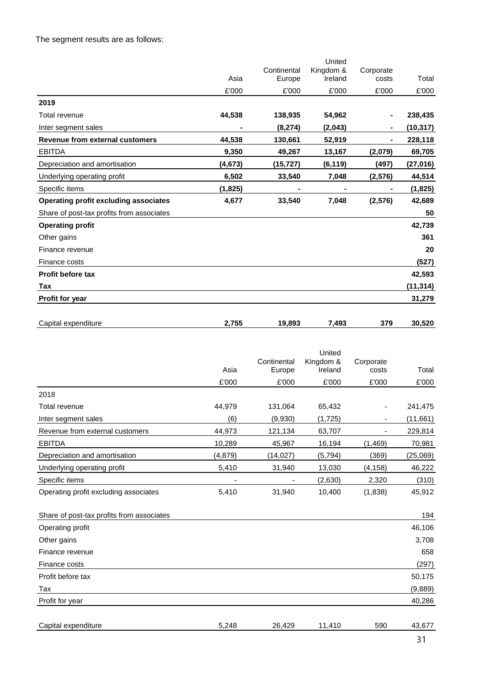The segment results are as follows:

|                                              |          |             | United    |           |           |
|----------------------------------------------|----------|-------------|-----------|-----------|-----------|
|                                              |          | Continental | Kingdom & | Corporate |           |
|                                              | Asia     | Europe      | Ireland   | costs     | Total     |
|                                              | £'000    | £'000       | £'000     | £'000     | £'000     |
| 2019                                         |          |             |           |           |           |
| Total revenue                                | 44,538   | 138,935     | 54,962    |           | 238,435   |
| Inter segment sales                          |          | (8, 274)    | (2,043)   | ۰         | (10,317)  |
| Revenue from external customers              | 44,538   | 130,661     | 52,919    |           | 228,118   |
| <b>EBITDA</b>                                | 9,350    | 49,267      | 13,167    | (2,079)   | 69,705    |
| Depreciation and amortisation                | (4,673)  | (15, 727)   | (6, 119)  | (497)     | (27, 016) |
| Underlying operating profit                  | 6,502    | 33,540      | 7,048     | (2, 576)  | 44,514    |
| Specific items                               | (1, 825) |             |           |           | (1, 825)  |
| <b>Operating profit excluding associates</b> | 4,677    | 33,540      | 7,048     | (2, 576)  | 42,689    |
| Share of post-tax profits from associates    |          |             |           |           | 50        |
| <b>Operating profit</b>                      |          |             |           |           | 42,739    |
| Other gains                                  |          |             |           |           | 361       |
| Finance revenue                              |          |             |           |           | 20        |
| Finance costs                                |          |             |           |           | (527)     |
| <b>Profit before tax</b>                     |          |             |           |           | 42,593    |
| Tax                                          |          |             |           |           | (11, 314) |
| <b>Profit for year</b>                       |          |             |           |           | 31,279    |
|                                              |          |             |           |           |           |

| Capital<br>l expenditure | ---<br>,,, | oo-<br>۰O<br>лоэ,<br>-- | 7,493 | 270<br>১ / ১ | 520<br>.su |
|--------------------------|------------|-------------------------|-------|--------------|------------|
|                          |            |                         |       |              |            |

|                                           |         | Continental | United<br>Kingdom & | Corporate |           |
|-------------------------------------------|---------|-------------|---------------------|-----------|-----------|
|                                           | Asia    | Europe      | Ireland             | costs     | Total     |
|                                           | £'000   | £'000       | £'000               | £'000     | £'000     |
| 2018                                      |         |             |                     |           |           |
| Total revenue                             | 44,979  | 131,064     | 65,432              | -         | 241,475   |
| Inter segment sales                       | (6)     | (9,930)     | (1,725)             | -         | (11, 661) |
| Revenue from external customers           | 44,973  | 121,134     | 63,707              | ۰         | 229,814   |
| <b>EBITDA</b>                             | 10,289  | 45,967      | 16,194              | (1, 469)  | 70,981    |
| Depreciation and amortisation             | (4,879) | (14, 027)   | (5, 794)            | (369)     | (25,069)  |
| Underlying operating profit               | 5,410   | 31,940      | 13,030              | (4, 158)  | 46,222    |
| Specific items                            |         |             | (2,630)             | 2,320     | (310)     |
| Operating profit excluding associates     | 5,410   | 31,940      | 10,400              | (1,838)   | 45,912    |
| Share of post-tax profits from associates |         |             |                     |           | 194       |
| Operating profit                          |         |             |                     |           | 46,106    |
| Other gains                               |         |             |                     |           | 3,708     |
| Finance revenue                           |         |             |                     |           | 658       |
| Finance costs                             |         |             |                     |           | (207)     |

| Finance costs       |       |        |        |     | (297)   |
|---------------------|-------|--------|--------|-----|---------|
| Profit before tax   |       |        |        |     | 50,175  |
| Tax                 |       |        |        |     | (9,889) |
| Profit for year     |       |        |        |     | 40,286  |
|                     |       |        |        |     |         |
| Capital expenditure | 5,248 | 26,429 | 11,410 | 590 | 43,677  |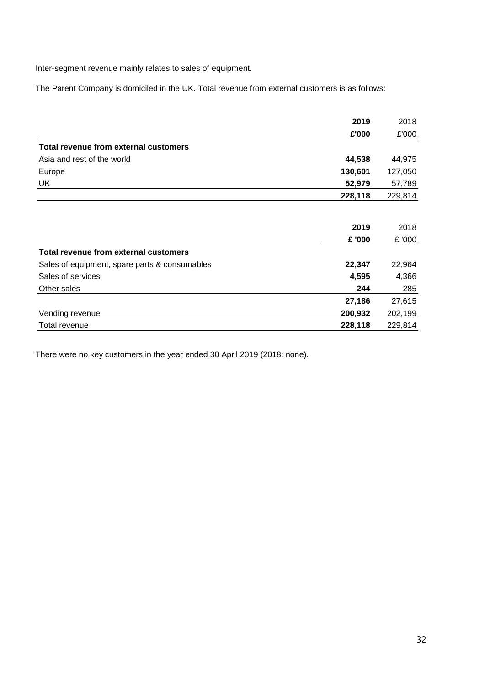Inter-segment revenue mainly relates to sales of equipment.

The Parent Company is domiciled in the UK. Total revenue from external customers is as follows:

|                                               | 2019    | 2018    |
|-----------------------------------------------|---------|---------|
|                                               | £'000   | £'000   |
| Total revenue from external customers         |         |         |
| Asia and rest of the world                    | 44,538  | 44,975  |
| Europe                                        | 130,601 | 127,050 |
| UK                                            | 52,979  | 57,789  |
|                                               | 228,118 | 229,814 |
|                                               |         |         |
|                                               | 2019    | 2018    |
|                                               | £ '000  | £ '000  |
| Total revenue from external customers         |         |         |
| Sales of equipment, spare parts & consumables | 22,347  | 22,964  |
| Sales of services                             | 4,595   | 4,366   |
| Other sales                                   | 244     | 285     |
|                                               | 27,186  | 27,615  |
| Vending revenue                               | 200,932 | 202,199 |
| Total revenue                                 | 228,118 | 229,814 |

There were no key customers in the year ended 30 April 2019 (2018: none).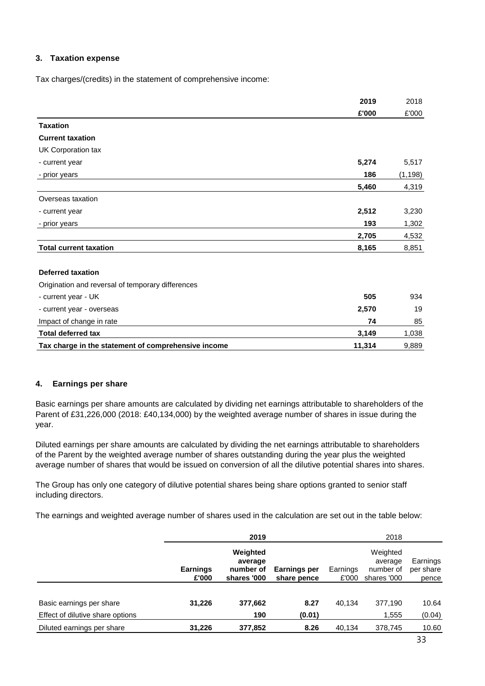#### **3. Taxation expense**

Tax charges/(credits) in the statement of comprehensive income:

|                                                     | 2019   | 2018     |
|-----------------------------------------------------|--------|----------|
|                                                     | £'000  | £'000    |
| <b>Taxation</b>                                     |        |          |
| <b>Current taxation</b>                             |        |          |
| UK Corporation tax                                  |        |          |
| - current year                                      | 5,274  | 5,517    |
| - prior years                                       | 186    | (1, 198) |
|                                                     | 5,460  | 4,319    |
| Overseas taxation                                   |        |          |
| - current year                                      | 2,512  | 3,230    |
| - prior years                                       | 193    | 1,302    |
|                                                     | 2,705  | 4,532    |
| <b>Total current taxation</b>                       | 8,165  | 8,851    |
| <b>Deferred taxation</b>                            |        |          |
| Origination and reversal of temporary differences   |        |          |
| - current year - UK                                 | 505    | 934      |
| - current year - overseas                           | 2,570  | 19       |
| Impact of change in rate                            | 74     | 85       |
| <b>Total deferred tax</b>                           | 3,149  | 1,038    |
| Tax charge in the statement of comprehensive income | 11,314 | 9,889    |
|                                                     |        |          |

#### **4. Earnings per share**

Basic earnings per share amounts are calculated by dividing net earnings attributable to shareholders of the Parent of £31,226,000 (2018: £40,134,000) by the weighted average number of shares in issue during the year.

Diluted earnings per share amounts are calculated by dividing the net earnings attributable to shareholders of the Parent by the weighted average number of shares outstanding during the year plus the weighted average number of shares that would be issued on conversion of all the dilutive potential shares into shares.

The Group has only one category of dilutive potential shares being share options granted to senior staff including directors.

The earnings and weighted average number of shares used in the calculation are set out in the table below:

|                                                              |                          | 2019                                            |                             |                   | 2018                                            |                                |
|--------------------------------------------------------------|--------------------------|-------------------------------------------------|-----------------------------|-------------------|-------------------------------------------------|--------------------------------|
|                                                              | <b>Earnings</b><br>£'000 | Weighted<br>average<br>number of<br>shares '000 | Earnings per<br>share pence | Earnings<br>£'000 | Weighted<br>average<br>number of<br>shares '000 | Earnings<br>per share<br>pence |
| Basic earnings per share<br>Effect of dilutive share options | 31,226                   | 377,662<br>190                                  | 8.27<br>(0.01)              | 40.134            | 377,190<br>1,555                                | 10.64<br>(0.04)                |
| Diluted earnings per share                                   | 31,226                   | 377,852                                         | 8.26                        | 40,134            | 378,745                                         | 10.60                          |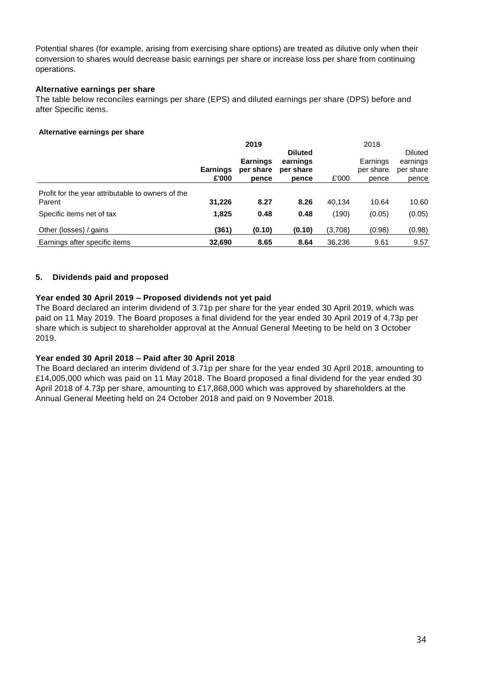Potential shares (for example, arising from exercising share options) are treated as dilutive only when their conversion to shares would decrease basic earnings per share or increase loss per share from continuing operations.

#### **Alternative earnings per share**

The table below reconciles earnings per share (EPS) and diluted earnings per share (DPS) before and after Specific items.

#### **Alternative earnings per share**

|                                                             |                 | 2019                         |                       |         | 2018                  |                       |
|-------------------------------------------------------------|-----------------|------------------------------|-----------------------|---------|-----------------------|-----------------------|
|                                                             |                 |                              | <b>Diluted</b>        |         |                       | <b>Diluted</b>        |
|                                                             | <b>Earnings</b> | <b>Earnings</b><br>per share | earnings<br>per share |         | Earnings<br>per share | earnings<br>per share |
|                                                             | £'000           | pence                        | pence                 | £'000   | pence                 | pence                 |
| Profit for the year attributable to owners of the<br>Parent | 31,226          | 8.27                         | 8.26                  | 40.134  | 10.64                 | 10.60                 |
| Specific items net of tax                                   | 1,825           | 0.48                         | 0.48                  | (190)   | (0.05)                | (0.05)                |
| Other (losses) / gains                                      | (361)           | (0.10)                       | (0.10)                | (3,708) | (0.98)                | (0.98)                |
| Earnings after specific items                               | 32,690          | 8.65                         | 8.64                  | 36,236  | 9.61                  | 9.57                  |

# **5. Dividends paid and proposed**

#### **Year ended 30 April 2019 – Proposed dividends not yet paid**

The Board declared an interim dividend of 3.71p per share for the year ended 30 April 2019, which was paid on 11 May 2019. The Board proposes a final dividend for the year ended 30 April 2019 of 4.73p per share which is subject to shareholder approval at the Annual General Meeting to be held on 3 October 2019.

#### **Year ended 30 April 2018 – Paid after 30 April 2018**

The Board declared an interim dividend of 3.71p per share for the year ended 30 April 2018, amounting to £14,005,000 which was paid on 11 May 2018. The Board proposed a final dividend for the year ended 30 April 2018 of 4.73p per share, amounting to £17,868,000 which was approved by shareholders at the Annual General Meeting held on 24 October 2018 and paid on 9 November 2018.